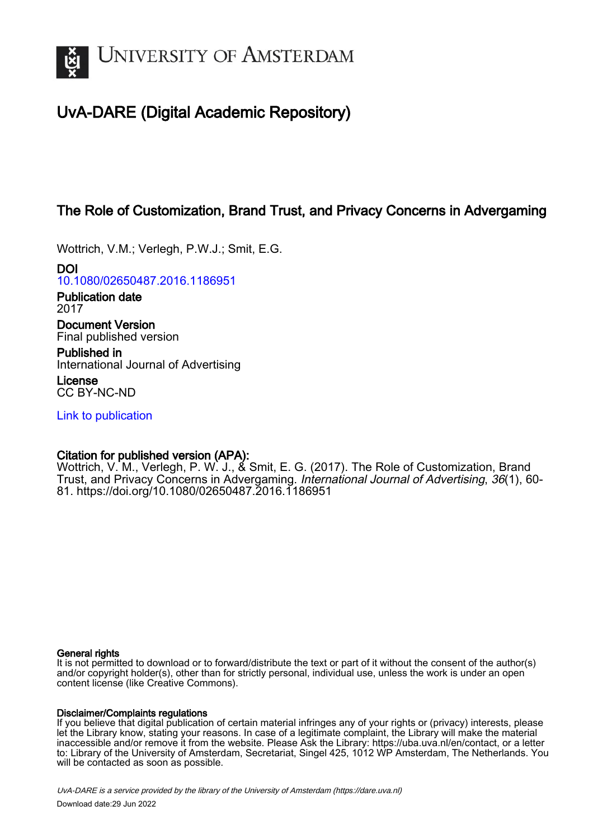

# UvA-DARE (Digital Academic Repository)

# The Role of Customization, Brand Trust, and Privacy Concerns in Advergaming

Wottrich, V.M.; Verlegh, P.W.J.; Smit, E.G.

DOI [10.1080/02650487.2016.1186951](https://doi.org/10.1080/02650487.2016.1186951)

Publication date 2017

Document Version Final published version

Published in International Journal of Advertising

License CC BY-NC-ND

[Link to publication](https://dare.uva.nl/personal/pure/en/publications/the-role-of-customization-brand-trust-and-privacy-concerns-in-advergaming(e6715768-5cf9-4415-8339-d3b95f1b76b2).html)

# Citation for published version (APA):

Wottrich, V. M., Verlegh, P. W. J., & Smit, E. G. (2017). The Role of Customization, Brand Trust, and Privacy Concerns in Advergaming. International Journal of Advertising, 36(1), 60- 81. <https://doi.org/10.1080/02650487.2016.1186951>

# General rights

It is not permitted to download or to forward/distribute the text or part of it without the consent of the author(s) and/or copyright holder(s), other than for strictly personal, individual use, unless the work is under an open content license (like Creative Commons).

# Disclaimer/Complaints regulations

If you believe that digital publication of certain material infringes any of your rights or (privacy) interests, please let the Library know, stating your reasons. In case of a legitimate complaint, the Library will make the material inaccessible and/or remove it from the website. Please Ask the Library: https://uba.uva.nl/en/contact, or a letter to: Library of the University of Amsterdam, Secretariat, Singel 425, 1012 WP Amsterdam, The Netherlands. You will be contacted as soon as possible.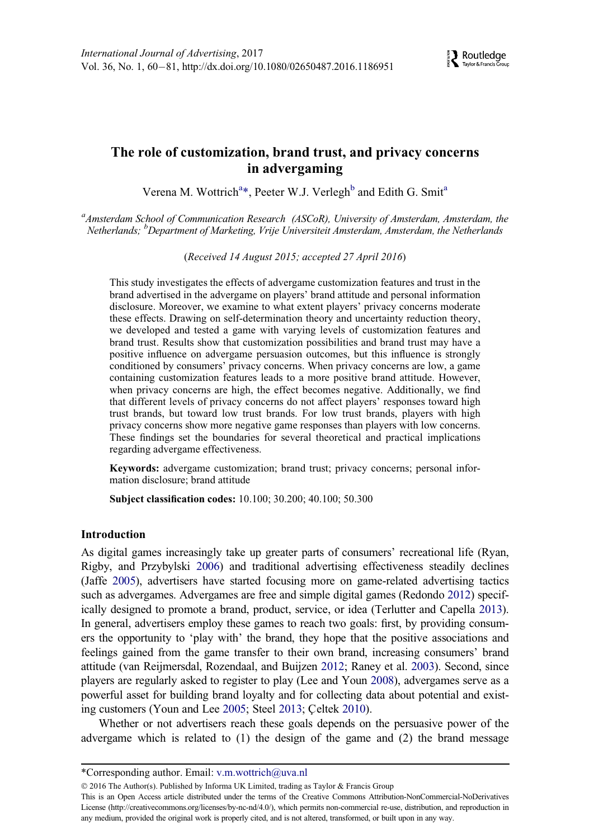# The role of customization, brand trust, and privacy concerns in advergaming

Veren[a](#page-1-0) M. Wottrich<sup>a[\\*](#page-1-1)</sup>, Peeter W.J. Verlegh<sup>[b](#page-1-2)</sup> and Edith G. Smit<sup>a</sup>

<span id="page-1-2"></span><span id="page-1-0"></span><sup>a</sup> Amsterdam School of Communication Research (ASCoR), University of Amsterdam, Amsterdam, the Netherlands; <sup>b</sup>Department of Marketing, Vrije Universiteit Amsterdam, Amsterdam, the Netherlands

(Received 14 August 2015; accepted 27 April 2016)

This study investigates the effects of advergame customization features and trust in the brand advertised in the advergame on players' brand attitude and personal information disclosure. Moreover, we examine to what extent players' privacy concerns moderate these effects. Drawing on self-determination theory and uncertainty reduction theory, we developed and tested a game with varying levels of customization features and brand trust. Results show that customization possibilities and brand trust may have a positive influence on advergame persuasion outcomes, but this influence is strongly conditioned by consumers' privacy concerns. When privacy concerns are low, a game containing customization features leads to a more positive brand attitude. However, when privacy concerns are high, the effect becomes negative. Additionally, we find that different levels of privacy concerns do not affect players' responses toward high trust brands, but toward low trust brands. For low trust brands, players with high privacy concerns show more negative game responses than players with low concerns. These findings set the boundaries for several theoretical and practical implications regarding advergame effectiveness.

Keywords: advergame customization; brand trust; privacy concerns; personal information disclosure; brand attitude

Subject classification codes: 10.100; 30.200; 40.100; 50.300

# **Introduction**

As digital games increasingly take up greater parts of consumers' recreational life (Ryan, Rigby, and Przybylski [2006\)](#page-21-0) and traditional advertising effectiveness steadily declines (Jaffe [2005\)](#page-19-0), advertisers have started focusing more on game-related advertising tactics such as advergames. Advergames are free and simple digital games (Redondo [2012](#page-21-1)) specifically designed to promote a brand, product, service, or idea (Terlutter and Capella [2013\)](#page-21-2). In general, advertisers employ these games to reach two goals: first, by providing consumers the opportunity to 'play with' the brand, they hope that the positive associations and feelings gained from the game transfer to their own brand, increasing consumers' brand attitude (van Reijmersdal, Rozendaal, and Buijzen [2012;](#page-22-0) Raney et al. [2003\)](#page-21-3). Second, since players are regularly asked to register to play (Lee and Youn [2008](#page-20-0)), advergames serve as a powerful asset for building brand loyalty and for collecting data about potential and exist-ing customers (Youn and Lee [2005](#page-22-1); Steel [2013](#page-21-4); Celtek [2010](#page-18-0)).

Whether or not advertisers reach these goals depends on the persuasive power of the advergame which is related to (1) the design of the game and (2) the brand message

2016 The Author(s). Published by Informa UK Limited, trading as Taylor & Francis Group

<span id="page-1-1"></span><sup>\*</sup>Corresponding author. Email: [v.m.wottrich@uva.nl](mailto:v.m.wottrich@uva.nl)

This is an Open Access article distributed under the terms of the Creative Commons Attribution-NonCommercial-NoDerivatives License [\(http://creativecommons.org/licenses/by-nc-nd/4.0/\)](http://creativecommons.org/licenses/by-nc-nd/4.0/), which permits non-commercial re-use, distribution, and reproduction in any medium, provided the original work is properly cited, and is not altered, transformed, or built upon in any way.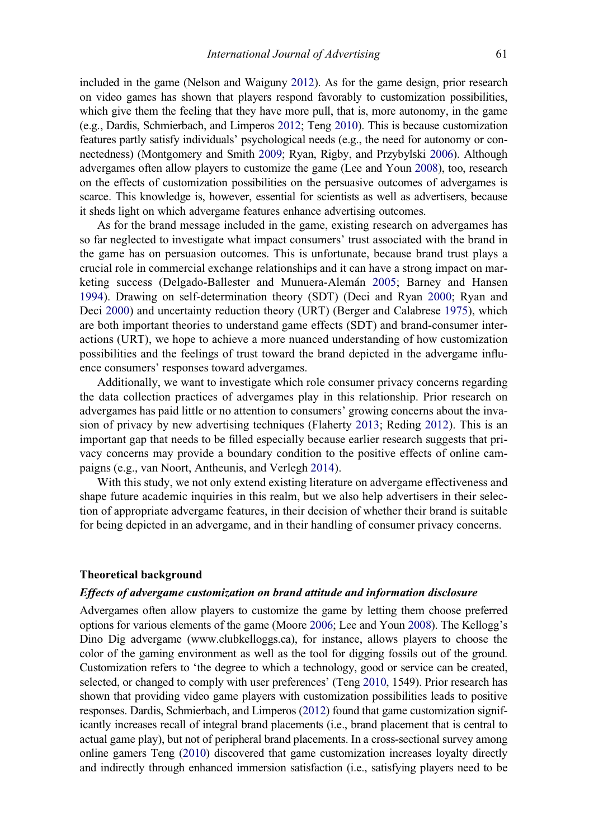included in the game (Nelson and Waiguny [2012](#page-20-1)). As for the game design, prior research on video games has shown that players respond favorably to customization possibilities, which give them the feeling that they have more pull, that is, more autonomy, in the game (e.g., Dardis, Schmierbach, and Limperos [2012](#page-19-1); Teng [2010\)](#page-21-5). This is because customization features partly satisfy individuals' psychological needs (e.g., the need for autonomy or connectedness) (Montgomery and Smith [2009](#page-20-2); Ryan, Rigby, and Przybylski [2006\)](#page-21-0). Although advergames often allow players to customize the game (Lee and Youn [2008\)](#page-20-0), too, research on the effects of customization possibilities on the persuasive outcomes of advergames is scarce. This knowledge is, however, essential for scientists as well as advertisers, because it sheds light on which advergame features enhance advertising outcomes.

As for the brand message included in the game, existing research on advergames has so far neglected to investigate what impact consumers' trust associated with the brand in the game has on persuasion outcomes. This is unfortunate, because brand trust plays a crucial role in commercial exchange relationships and it can have a strong impact on mar-keting success (Delgado-Ballester and Munuera-Alemán [2005](#page-19-2); Barney and Hansen [1994\)](#page-18-1). Drawing on self-determination theory (SDT) (Deci and Ryan [2000](#page-19-3); Ryan and Deci [2000\)](#page-21-6) and uncertainty reduction theory (URT) (Berger and Calabrese [1975](#page-18-2)), which are both important theories to understand game effects (SDT) and brand-consumer interactions (URT), we hope to achieve a more nuanced understanding of how customization possibilities and the feelings of trust toward the brand depicted in the advergame influence consumers' responses toward advergames.

Additionally, we want to investigate which role consumer privacy concerns regarding the data collection practices of advergames play in this relationship. Prior research on advergames has paid little or no attention to consumers' growing concerns about the invasion of privacy by new advertising techniques (Flaherty [2013;](#page-19-4) Reding [2012](#page-21-7)). This is an important gap that needs to be filled especially because earlier research suggests that privacy concerns may provide a boundary condition to the positive effects of online campaigns (e.g., van Noort, Antheunis, and Verlegh [2014](#page-21-8)).

With this study, we not only extend existing literature on advergame effectiveness and shape future academic inquiries in this realm, but we also help advertisers in their selection of appropriate advergame features, in their decision of whether their brand is suitable for being depicted in an advergame, and in their handling of consumer privacy concerns.

## Theoretical background

# Effects of advergame customization on brand attitude and information disclosure

Advergames often allow players to customize the game by letting them choose preferred options for various elements of the game (Moore [2006;](#page-20-3) Lee and Youn [2008](#page-20-0)). The Kellogg's Dino Dig advergame [\(www.clubkelloggs.ca\)](http://www.clubkelloggs.ca), for instance, allows players to choose the color of the gaming environment as well as the tool for digging fossils out of the ground. Customization refers to 'the degree to which a technology, good or service can be created, selected, or changed to comply with user preferences' (Teng [2010,](#page-21-5) 1549). Prior research has shown that providing video game players with customization possibilities leads to positive responses. Dardis, Schmierbach, and Limperos ([2012\)](#page-19-1) found that game customization significantly increases recall of integral brand placements (i.e., brand placement that is central to actual game play), but not of peripheral brand placements. In a cross-sectional survey among online gamers Teng [\(2010\)](#page-21-5) discovered that game customization increases loyalty directly and indirectly through enhanced immersion satisfaction (i.e., satisfying players need to be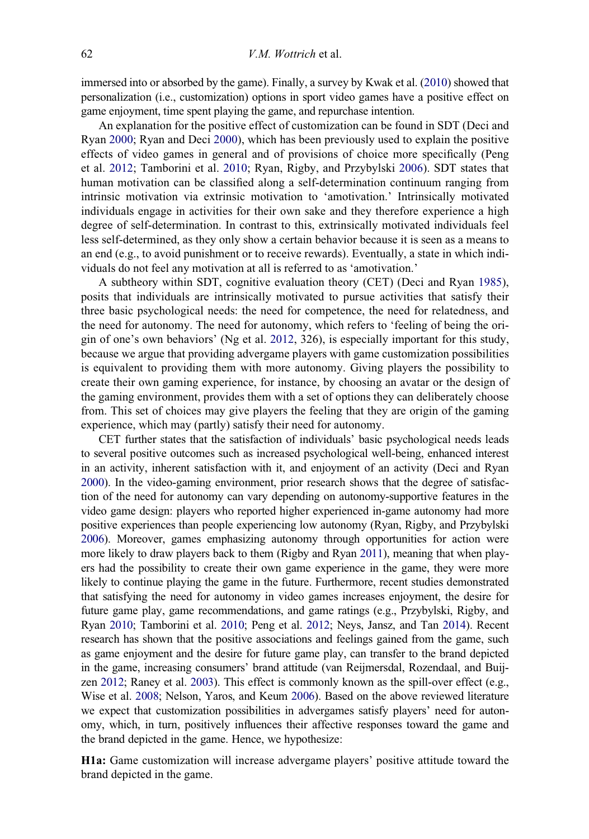immersed into or absorbed by the game). Finally, a survey by Kwak et al. [\(2010\)](#page-19-5) showed that personalization (i.e., customization) options in sport video games have a positive effect on game enjoyment, time spent playing the game, and repurchase intention.

An explanation for the positive effect of customization can be found in SDT (Deci and Ryan [2000;](#page-19-3) Ryan and Deci [2000](#page-21-6)), which has been previously used to explain the positive effects of video games in general and of provisions of choice more specifically (Peng et al. [2012;](#page-21-9) Tamborini et al. [2010](#page-21-10); Ryan, Rigby, and Przybylski [2006](#page-21-0)). SDT states that human motivation can be classified along a self-determination continuum ranging from intrinsic motivation via extrinsic motivation to 'amotivation.' Intrinsically motivated individuals engage in activities for their own sake and they therefore experience a high degree of self-determination. In contrast to this, extrinsically motivated individuals feel less self-determined, as they only show a certain behavior because it is seen as a means to an end (e.g., to avoid punishment or to receive rewards). Eventually, a state in which individuals do not feel any motivation at all is referred to as 'amotivation.'

A subtheory within SDT, cognitive evaluation theory (CET) (Deci and Ryan [1985\)](#page-19-6), posits that individuals are intrinsically motivated to pursue activities that satisfy their three basic psychological needs: the need for competence, the need for relatedness, and the need for autonomy. The need for autonomy, which refers to 'feeling of being the origin of one's own behaviors' (Ng et al. [2012](#page-20-4), 326), is especially important for this study, because we argue that providing advergame players with game customization possibilities is equivalent to providing them with more autonomy. Giving players the possibility to create their own gaming experience, for instance, by choosing an avatar or the design of the gaming environment, provides them with a set of options they can deliberately choose from. This set of choices may give players the feeling that they are origin of the gaming experience, which may (partly) satisfy their need for autonomy.

CET further states that the satisfaction of individuals' basic psychological needs leads to several positive outcomes such as increased psychological well-being, enhanced interest in an activity, inherent satisfaction with it, and enjoyment of an activity (Deci and Ryan [2000](#page-19-3)). In the video-gaming environment, prior research shows that the degree of satisfaction of the need for autonomy can vary depending on autonomy-supportive features in the video game design: players who reported higher experienced in-game autonomy had more positive experiences than people experiencing low autonomy (Ryan, Rigby, and Przybylski [2006](#page-21-0)). Moreover, games emphasizing autonomy through opportunities for action were more likely to draw players back to them (Rigby and Ryan [2011\)](#page-21-11), meaning that when players had the possibility to create their own game experience in the game, they were more likely to continue playing the game in the future. Furthermore, recent studies demonstrated that satisfying the need for autonomy in video games increases enjoyment, the desire for future game play, game recommendations, and game ratings (e.g., Przybylski, Rigby, and Ryan [2010](#page-21-12); Tamborini et al. [2010;](#page-21-10) Peng et al. [2012](#page-21-9); Neys, Jansz, and Tan [2014](#page-20-5)). Recent research has shown that the positive associations and feelings gained from the game, such as game enjoyment and the desire for future game play, can transfer to the brand depicted in the game, increasing consumers' brand attitude (van Reijmersdal, Rozendaal, and Buijzen [2012;](#page-22-0) Raney et al. [2003\)](#page-21-3). This effect is commonly known as the spill-over effect (e.g., Wise et al. [2008;](#page-22-2) Nelson, Yaros, and Keum [2006](#page-20-6)). Based on the above reviewed literature we expect that customization possibilities in advergames satisfy players' need for autonomy, which, in turn, positively influences their affective responses toward the game and the brand depicted in the game. Hence, we hypothesize:

H1a: Game customization will increase advergame players' positive attitude toward the brand depicted in the game.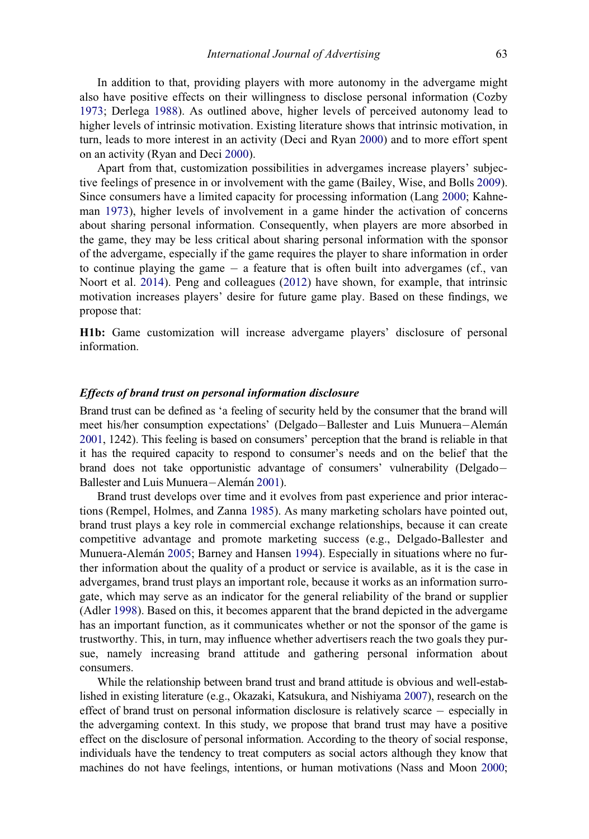In addition to that, providing players with more autonomy in the advergame might also have positive effects on their willingness to disclose personal information (Cozby [1973;](#page-19-7) Derlega [1988](#page-19-8)). As outlined above, higher levels of perceived autonomy lead to higher levels of intrinsic motivation. Existing literature shows that intrinsic motivation, in turn, leads to more interest in an activity (Deci and Ryan [2000](#page-19-3)) and to more effort spent on an activity (Ryan and Deci [2000](#page-21-6)).

Apart from that, customization possibilities in advergames increase players' subjective feelings of presence in or involvement with the game (Bailey, Wise, and Bolls [2009\)](#page-18-3). Since consumers have a limited capacity for processing information (Lang [2000](#page-19-9); Kahneman [1973](#page-19-10)), higher levels of involvement in a game hinder the activation of concerns about sharing personal information. Consequently, when players are more absorbed in the game, they may be less critical about sharing personal information with the sponsor of the advergame, especially if the game requires the player to share information in order to continue playing the game  $-$  a feature that is often built into advergames (cf., van Noort et al. [2014\)](#page-21-8). Peng and colleagues ([2012](#page-21-9)) have shown, for example, that intrinsic motivation increases players' desire for future game play. Based on these findings, we propose that:

H1b: Game customization will increase advergame players' disclosure of personal information.

# Effects of brand trust on personal information disclosure

Brand trust can be defined as 'a feeling of security held by the consumer that the brand will meet his/her consumption expectations' (Delgado-Ballester and Luis Munuera-Alemán [2001](#page-19-11), 1242). This feeling is based on consumers' perception that the brand is reliable in that it has the required capacity to respond to consumer's needs and on the belief that the brand does not take opportunistic advantage of consumers' vulnerability (Delgado Ballester and Luis Munuera-Alemán [2001](#page-19-11)).

Brand trust develops over time and it evolves from past experience and prior interactions (Rempel, Holmes, and Zanna [1985\)](#page-21-13). As many marketing scholars have pointed out, brand trust plays a key role in commercial exchange relationships, because it can create competitive advantage and promote marketing success (e.g., Delgado-Ballester and Munuera-Aleman [2005](#page-19-2); Barney and Hansen [1994\)](#page-18-1). Especially in situations where no further information about the quality of a product or service is available, as it is the case in advergames, brand trust plays an important role, because it works as an information surrogate, which may serve as an indicator for the general reliability of the brand or supplier (Adler [1998](#page-18-4)). Based on this, it becomes apparent that the brand depicted in the advergame has an important function, as it communicates whether or not the sponsor of the game is trustworthy. This, in turn, may influence whether advertisers reach the two goals they pursue, namely increasing brand attitude and gathering personal information about consumers.

While the relationship between brand trust and brand attitude is obvious and well-established in existing literature (e.g., Okazaki, Katsukura, and Nishiyama [2007](#page-20-7)), research on the effect of brand trust on personal information disclosure is relatively scarce especially in the advergaming context. In this study, we propose that brand trust may have a positive effect on the disclosure of personal information. According to the theory of social response, individuals have the tendency to treat computers as social actors although they know that machines do not have feelings, intentions, or human motivations (Nass and Moon [2000;](#page-20-8)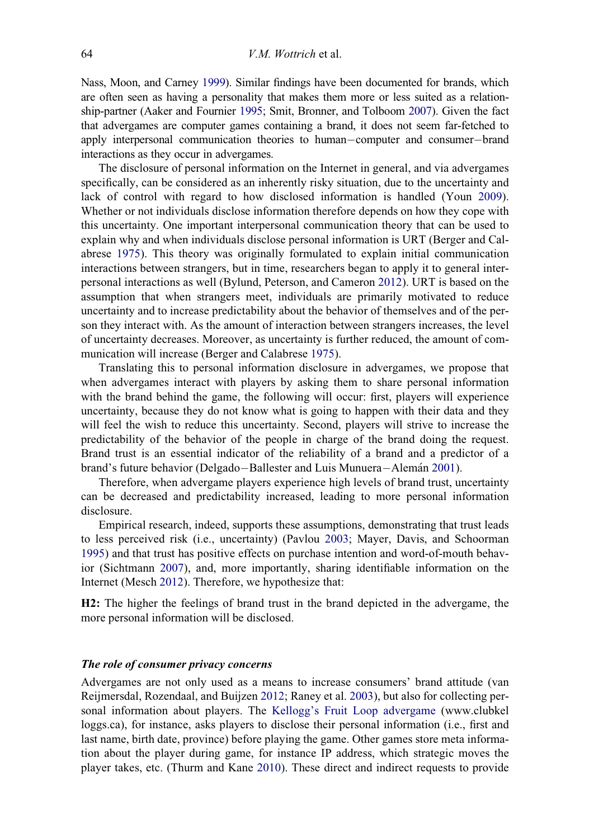Nass, Moon, and Carney [1999\)](#page-20-9). Similar findings have been documented for brands, which are often seen as having a personality that makes them more or less suited as a relationship-partner (Aaker and Fournier [1995](#page-18-5); Smit, Bronner, and Tolboom [2007\)](#page-21-14). Given the fact that advergames are computer games containing a brand, it does not seem far-fetched to apply interpersonal communication theories to human-computer and consumer-brand interactions as they occur in advergames.

The disclosure of personal information on the Internet in general, and via advergames specifically, can be considered as an inherently risky situation, due to the uncertainty and lack of control with regard to how disclosed information is handled (Youn [2009\)](#page-22-3). Whether or not individuals disclose information therefore depends on how they cope with this uncertainty. One important interpersonal communication theory that can be used to explain why and when individuals disclose personal information is URT (Berger and Calabrese [1975\)](#page-18-2). This theory was originally formulated to explain initial communication interactions between strangers, but in time, researchers began to apply it to general interpersonal interactions as well (Bylund, Peterson, and Cameron [2012\)](#page-18-6). URT is based on the assumption that when strangers meet, individuals are primarily motivated to reduce uncertainty and to increase predictability about the behavior of themselves and of the person they interact with. As the amount of interaction between strangers increases, the level of uncertainty decreases. Moreover, as uncertainty is further reduced, the amount of communication will increase (Berger and Calabrese [1975](#page-18-2)).

Translating this to personal information disclosure in advergames, we propose that when advergames interact with players by asking them to share personal information with the brand behind the game, the following will occur: first, players will experience uncertainty, because they do not know what is going to happen with their data and they will feel the wish to reduce this uncertainty. Second, players will strive to increase the predictability of the behavior of the people in charge of the brand doing the request. Brand trust is an essential indicator of the reliability of a brand and a predictor of a brand's future behavior (Delgado-Ballester and Luis Munuera-Alemán [2001\)](#page-19-11).

Therefore, when advergame players experience high levels of brand trust, uncertainty can be decreased and predictability increased, leading to more personal information disclosure.

Empirical research, indeed, supports these assumptions, demonstrating that trust leads to less perceived risk (i.e., uncertainty) (Pavlou [2003](#page-21-15); Mayer, Davis, and Schoorman [1995\)](#page-20-10) and that trust has positive effects on purchase intention and word-of-mouth behavior (Sichtmann [2007](#page-21-16)), and, more importantly, sharing identifiable information on the Internet (Mesch [2012\)](#page-20-11). Therefore, we hypothesize that:

H2: The higher the feelings of brand trust in the brand depicted in the advergame, the more personal information will be disclosed.

# The role of consumer privacy concerns

Advergames are not only used as a means to increase consumers' brand attitude (van Reijmersdal, Rozendaal, and Buijzen [2012](#page-22-0); Raney et al. [2003](#page-21-3)), but also for collecting personal information about players. The [Kellogg's Fruit Loop advergame](#page-19-12) ([www.clubkel](http://www.clubkelloggs.ca) [loggs.ca\)](http://www.clubkelloggs.ca), for instance, asks players to disclose their personal information (i.e., first and last name, birth date, province) before playing the game. Other games store meta information about the player during game, for instance IP address, which strategic moves the player takes, etc. (Thurm and Kane [2010](#page-21-17)). These direct and indirect requests to provide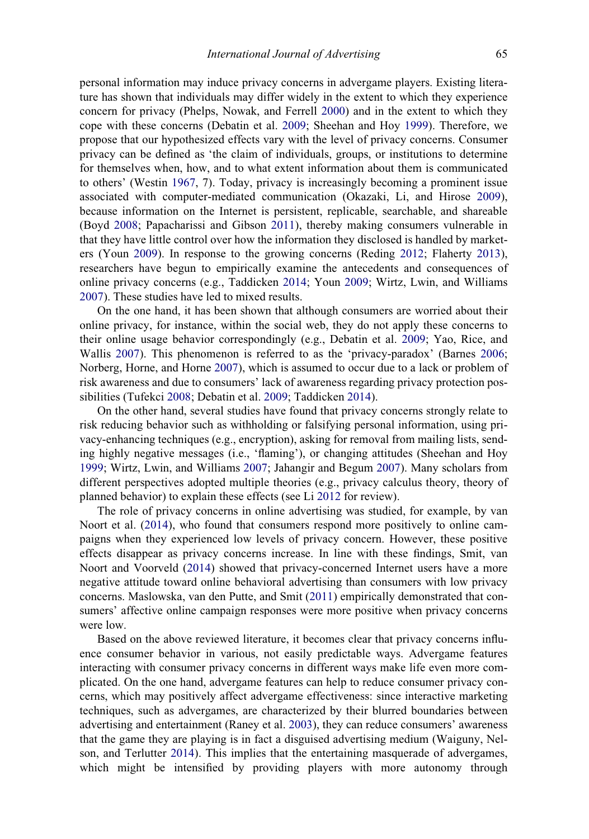personal information may induce privacy concerns in advergame players. Existing literature has shown that individuals may differ widely in the extent to which they experience concern for privacy (Phelps, Nowak, and Ferrell [2000](#page-21-18)) and in the extent to which they cope with these concerns (Debatin et al. [2009](#page-19-13); Sheehan and Hoy [1999\)](#page-21-19). Therefore, we propose that our hypothesized effects vary with the level of privacy concerns. Consumer privacy can be defined as 'the claim of individuals, groups, or institutions to determine for themselves when, how, and to what extent information about them is communicated to others' (Westin [1967,](#page-22-4) 7). Today, privacy is increasingly becoming a prominent issue associated with computer-mediated communication (Okazaki, Li, and Hirose [2009\)](#page-20-12), because information on the Internet is persistent, replicable, searchable, and shareable (Boyd [2008;](#page-18-7) Papacharissi and Gibson [2011](#page-20-13)), thereby making consumers vulnerable in that they have little control over how the information they disclosed is handled by marketers (Youn [2009](#page-22-3)). In response to the growing concerns (Reding [2012](#page-21-7); Flaherty [2013\)](#page-19-4), researchers have begun to empirically examine the antecedents and consequences of online privacy concerns (e.g., Taddicken [2014;](#page-21-20) Youn [2009;](#page-22-3) Wirtz, Lwin, and Williams [2007\)](#page-22-5). These studies have led to mixed results.

On the one hand, it has been shown that although consumers are worried about their online privacy, for instance, within the social web, they do not apply these concerns to their online usage behavior correspondingly (e.g., Debatin et al. [2009;](#page-19-13) Yao, Rice, and Wallis [2007\)](#page-22-6). This phenomenon is referred to as the 'privacy-paradox' (Barnes [2006;](#page-18-8) Norberg, Horne, and Horne [2007\)](#page-20-14), which is assumed to occur due to a lack or problem of risk awareness and due to consumers' lack of awareness regarding privacy protection possibilities (Tufekci [2008](#page-21-21); Debatin et al. [2009](#page-19-13); Taddicken [2014](#page-21-20)).

On the other hand, several studies have found that privacy concerns strongly relate to risk reducing behavior such as withholding or falsifying personal information, using privacy-enhancing techniques (e.g., encryption), asking for removal from mailing lists, sending highly negative messages (i.e., 'flaming'), or changing attitudes (Sheehan and Hoy [1999;](#page-21-19) Wirtz, Lwin, and Williams [2007](#page-22-5); Jahangir and Begum [2007\)](#page-19-14). Many scholars from different perspectives adopted multiple theories (e.g., privacy calculus theory, theory of planned behavior) to explain these effects (see Li [2012](#page-20-15) for review).

The role of privacy concerns in online advertising was studied, for example, by van Noort et al. [\(2014](#page-21-8)), who found that consumers respond more positively to online campaigns when they experienced low levels of privacy concern. However, these positive effects disappear as privacy concerns increase. In line with these findings, Smit, van Noort and Voorveld ([2014\)](#page-21-22) showed that privacy-concerned Internet users have a more negative attitude toward online behavioral advertising than consumers with low privacy concerns. Maslowska, van den Putte, and Smit [\(2011](#page-20-16)) empirically demonstrated that consumers' affective online campaign responses were more positive when privacy concerns were low.

Based on the above reviewed literature, it becomes clear that privacy concerns influence consumer behavior in various, not easily predictable ways. Advergame features interacting with consumer privacy concerns in different ways make life even more complicated. On the one hand, advergame features can help to reduce consumer privacy concerns, which may positively affect advergame effectiveness: since interactive marketing techniques, such as advergames, are characterized by their blurred boundaries between advertising and entertainment (Raney et al. [2003\)](#page-21-3), they can reduce consumers' awareness that the game they are playing is in fact a disguised advertising medium (Waiguny, Nelson, and Terlutter [2014\)](#page-22-7). This implies that the entertaining masquerade of advergames, which might be intensified by providing players with more autonomy through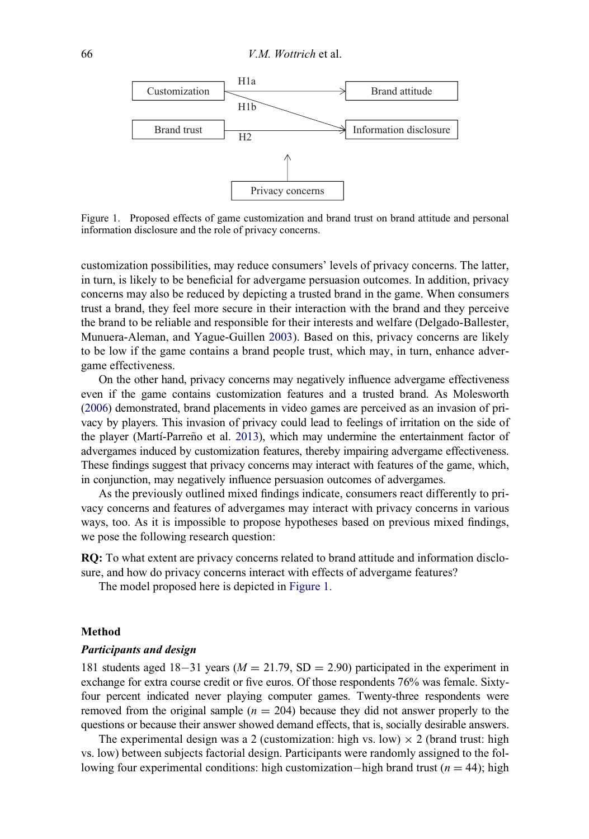<span id="page-7-0"></span>

Figure 1. Proposed effects of game customization and brand trust on brand attitude and personal information disclosure and the role of privacy concerns.

customization possibilities, may reduce consumers' levels of privacy concerns. The latter, in turn, is likely to be beneficial for advergame persuasion outcomes. In addition, privacy concerns may also be reduced by depicting a trusted brand in the game. When consumers trust a brand, they feel more secure in their interaction with the brand and they perceive the brand to be reliable and responsible for their interests and welfare (Delgado-Ballester, Munuera-Aleman, and Yague-Guillen [2003](#page-19-15)). Based on this, privacy concerns are likely to be low if the game contains a brand people trust, which may, in turn, enhance advergame effectiveness.

On the other hand, privacy concerns may negatively influence advergame effectiveness even if the game contains customization features and a trusted brand. As Molesworth [\(2006](#page-20-17)) demonstrated, brand placements in video games are perceived as an invasion of privacy by players. This invasion of privacy could lead to feelings of irritation on the side of the player (Martí-Parreño et al. [2013\)](#page-20-18), which may undermine the entertainment factor of advergames induced by customization features, thereby impairing advergame effectiveness. These findings suggest that privacy concerns may interact with features of the game, which, in conjunction, may negatively influence persuasion outcomes of advergames.

As the previously outlined mixed findings indicate, consumers react differently to privacy concerns and features of advergames may interact with privacy concerns in various ways, too. As it is impossible to propose hypotheses based on previous mixed findings, we pose the following research question:

RQ: To what extent are privacy concerns related to brand attitude and information disclosure, and how do privacy concerns interact with effects of advergame features?

The model proposed here is depicted in [Figure 1.](#page-7-0)

# Method

#### Participants and design

181 students aged 18-31 years ( $M = 21.79$ , SD = 2.90) participated in the experiment in exchange for extra course credit or five euros. Of those respondents 76% was female. Sixtyfour percent indicated never playing computer games. Twenty-three respondents were removed from the original sample ( $n = 204$ ) because they did not answer properly to the questions or because their answer showed demand effects, that is, socially desirable answers.

The experimental design was a 2 (customization: high vs. low)  $\times$  2 (brand trust: high vs. low) between subjects factorial design. Participants were randomly assigned to the following four experimental conditions: high customization-high brand trust ( $n = 44$ ); high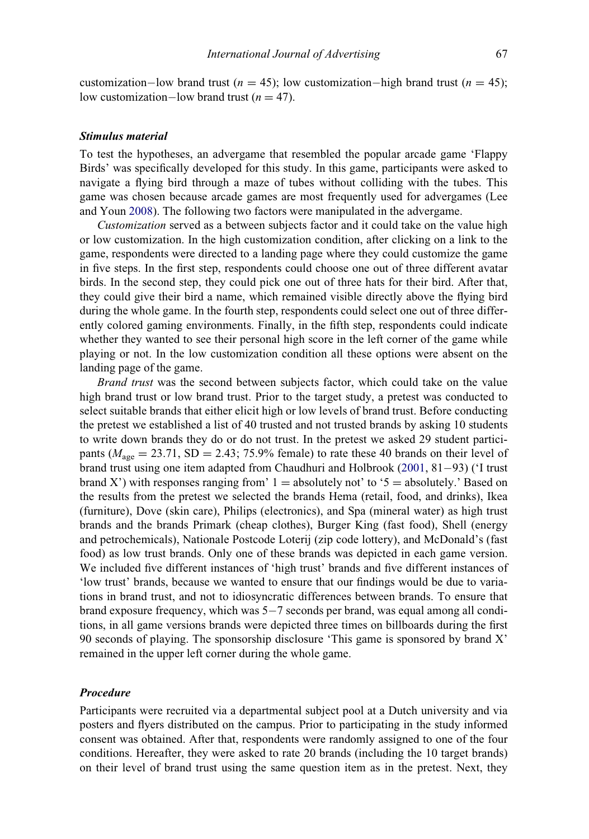customization–low brand trust ( $n = 45$ ); low customization–high brand trust ( $n = 45$ ); low customization-low brand trust ( $n = 47$ ).

# Stimulus material

To test the hypotheses, an advergame that resembled the popular arcade game 'Flappy Birds' was specifically developed for this study. In this game, participants were asked to navigate a flying bird through a maze of tubes without colliding with the tubes. This game was chosen because arcade games are most frequently used for advergames (Lee and Youn [2008](#page-20-0)). The following two factors were manipulated in the advergame.

Customization served as a between subjects factor and it could take on the value high or low customization. In the high customization condition, after clicking on a link to the game, respondents were directed to a landing page where they could customize the game in five steps. In the first step, respondents could choose one out of three different avatar birds. In the second step, they could pick one out of three hats for their bird. After that, they could give their bird a name, which remained visible directly above the flying bird during the whole game. In the fourth step, respondents could select one out of three differently colored gaming environments. Finally, in the fifth step, respondents could indicate whether they wanted to see their personal high score in the left corner of the game while playing or not. In the low customization condition all these options were absent on the landing page of the game.

Brand trust was the second between subjects factor, which could take on the value high brand trust or low brand trust. Prior to the target study, a pretest was conducted to select suitable brands that either elicit high or low levels of brand trust. Before conducting the pretest we established a list of 40 trusted and not trusted brands by asking 10 students to write down brands they do or do not trust. In the pretest we asked 29 student participants ( $M_{\text{age}} = 23.71$ , SD = 2.43; 75.9% female) to rate these 40 brands on their level of brand trust using one item adapted from Chaudhuri and Holbrook  $(2001, 81-93)$  $(2001, 81-93)$  ('I trust brand X') with responses ranging from  $1 =$  absolutely not' to '5 = absolutely.' Based on the results from the pretest we selected the brands Hema (retail, food, and drinks), Ikea (furniture), Dove (skin care), Philips (electronics), and Spa (mineral water) as high trust brands and the brands Primark (cheap clothes), Burger King (fast food), Shell (energy and petrochemicals), Nationale Postcode Loterij (zip code lottery), and McDonald's (fast food) as low trust brands. Only one of these brands was depicted in each game version. We included five different instances of 'high trust' brands and five different instances of 'low trust' brands, because we wanted to ensure that our findings would be due to variations in brand trust, and not to idiosyncratic differences between brands. To ensure that brand exposure frequency, which was  $5-7$  seconds per brand, was equal among all conditions, in all game versions brands were depicted three times on billboards during the first 90 seconds of playing. The sponsorship disclosure 'This game is sponsored by brand X' remained in the upper left corner during the whole game.

# Procedure

Participants were recruited via a departmental subject pool at a Dutch university and via posters and flyers distributed on the campus. Prior to participating in the study informed consent was obtained. After that, respondents were randomly assigned to one of the four conditions. Hereafter, they were asked to rate 20 brands (including the 10 target brands) on their level of brand trust using the same question item as in the pretest. Next, they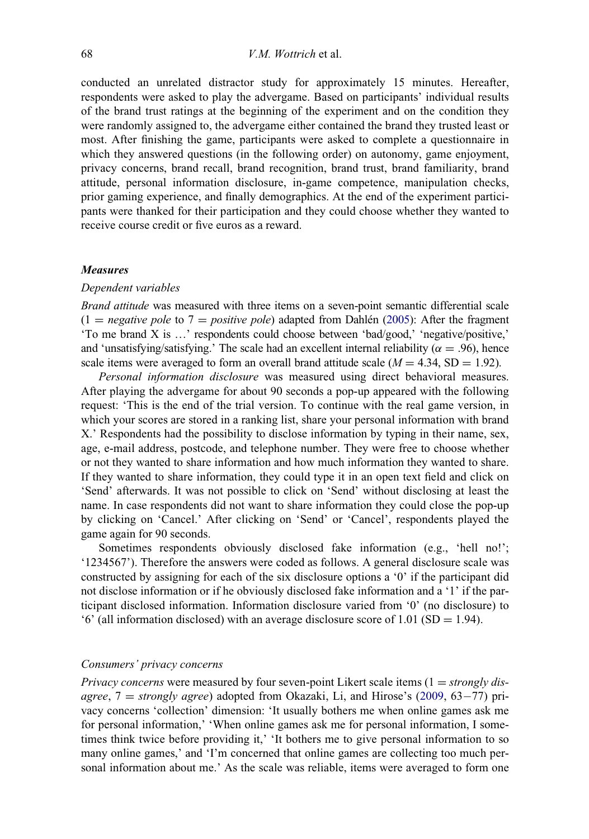conducted an unrelated distractor study for approximately 15 minutes. Hereafter, respondents were asked to play the advergame. Based on participants' individual results of the brand trust ratings at the beginning of the experiment and on the condition they were randomly assigned to, the advergame either contained the brand they trusted least or most. After finishing the game, participants were asked to complete a questionnaire in which they answered questions (in the following order) on autonomy, game enjoyment, privacy concerns, brand recall, brand recognition, brand trust, brand familiarity, brand attitude, personal information disclosure, in-game competence, manipulation checks, prior gaming experience, and finally demographics. At the end of the experiment participants were thanked for their participation and they could choose whether they wanted to receive course credit or five euros as a reward.

#### **Measures**

#### Dependent variables

Brand attitude was measured with three items on a seven-point semantic differential scale  $(1 = negative pole)$  to  $7 = positive pole$  adapted from Dahlén [\(2005](#page-19-17)): After the fragment 'To me brand X is …' respondents could choose between 'bad/good,' 'negative/positive,' and 'unsatisfying/satisfying.' The scale had an excellent internal reliability ( $\alpha = .96$ ), hence scale items were averaged to form an overall brand attitude scale  $(M = 4.34, SD = 1.92)$ .

Personal information disclosure was measured using direct behavioral measures. After playing the advergame for about 90 seconds a pop-up appeared with the following request: 'This is the end of the trial version. To continue with the real game version, in which your scores are stored in a ranking list, share your personal information with brand X.' Respondents had the possibility to disclose information by typing in their name, sex, age, e-mail address, postcode, and telephone number. They were free to choose whether or not they wanted to share information and how much information they wanted to share. If they wanted to share information, they could type it in an open text field and click on 'Send' afterwards. It was not possible to click on 'Send' without disclosing at least the name. In case respondents did not want to share information they could close the pop-up by clicking on 'Cancel.' After clicking on 'Send' or 'Cancel', respondents played the game again for 90 seconds.

Sometimes respondents obviously disclosed fake information (e.g., 'hell no!'; '1234567'). Therefore the answers were coded as follows. A general disclosure scale was constructed by assigning for each of the six disclosure options a '0' if the participant did not disclose information or if he obviously disclosed fake information and a '1' if the participant disclosed information. Information disclosure varied from '0' (no disclosure) to '6' (all information disclosed) with an average disclosure score of 1.01 (SD = 1.94).

# Consumers' privacy concerns

*Privacy concerns* were measured by four seven-point Likert scale items  $(1 = strongly$  disagree,  $7 =$  strongly agree) adopted from Okazaki, Li, and Hirose's ([2009,](#page-20-12) 63-77) privacy concerns 'collection' dimension: 'It usually bothers me when online games ask me for personal information,' 'When online games ask me for personal information, I sometimes think twice before providing it,' 'It bothers me to give personal information to so many online games,' and 'I'm concerned that online games are collecting too much personal information about me.' As the scale was reliable, items were averaged to form one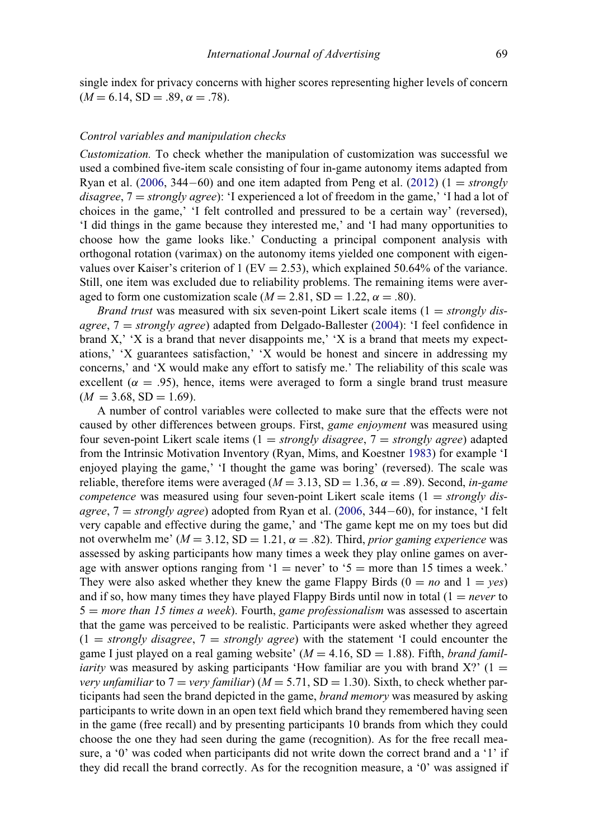single index for privacy concerns with higher scores representing higher levels of concern  $(M = 6.14, SD = .89, \alpha = .78).$ 

# Control variables and manipulation checks

Customization. To check whether the manipulation of customization was successful we used a combined five-item scale consisting of four in-game autonomy items adapted from Ryan et al. [\(2006](#page-21-0), 344–60) and one item adapted from Peng et al. [\(2012](#page-21-9)) ( $1 = \text{strongly}$ ) disagree,  $7 =$  strongly agree): 'I experienced a lot of freedom in the game,' 'I had a lot of choices in the game,' 'I felt controlled and pressured to be a certain way' (reversed), 'I did things in the game because they interested me,' and 'I had many opportunities to choose how the game looks like.' Conducting a principal component analysis with orthogonal rotation (varimax) on the autonomy items yielded one component with eigenvalues over Kaiser's criterion of 1 (EV = 2.53), which explained 50.64% of the variance. Still, one item was excluded due to reliability problems. The remaining items were averaged to form one customization scale ( $M = 2.81$ , SD = 1.22,  $\alpha = .80$ ).

*Brand trust* was measured with six seven-point Likert scale items  $(1 = strongly$  disagree,  $7 = strongly$  agree) adapted from Delgado-Ballester [\(2004](#page-19-18)): 'I feel confidence in brand  $X$ , ' $X$  is a brand that never disappoints me,'  $X$  is a brand that meets my expectations,' 'X guarantees satisfaction,' 'X would be honest and sincere in addressing my concerns,' and 'X would make any effort to satisfy me.' The reliability of this scale was excellent ( $\alpha = .95$ ), hence, items were averaged to form a single brand trust measure  $(M = 3.68, SD = 1.69).$ 

A number of control variables were collected to make sure that the effects were not caused by other differences between groups. First, game enjoyment was measured using four seven-point Likert scale items  $(1 = strongly \, disagree, 7 = strongly \, agree)$  adapted from the Intrinsic Motivation Inventory (Ryan, Mims, and Koestner [1983\)](#page-21-23) for example 'I enjoyed playing the game,' 'I thought the game was boring' (reversed). The scale was reliable, therefore items were averaged ( $M = 3.13$ , SD = 1.36,  $\alpha = .89$ ). Second, in-game competence was measured using four seven-point Likert scale items  $(1 = strongly$  disagree,  $7 =$  strongly agree) adopted from Ryan et al. ([2006,](#page-21-0) 344–60), for instance, 'I felt very capable and effective during the game,' and 'The game kept me on my toes but did not overwhelm me'  $(M = 3.12, SD = 1.21, \alpha = .82)$ . Third, prior gaming experience was assessed by asking participants how many times a week they play online games on average with answer options ranging from '1 = never' to '5 = more than 15 times a week.' They were also asked whether they knew the game Flappy Birds ( $0 = no$  and  $1 = yes$ ) and if so, how many times they have played Flappy Birds until now in total  $(1 = never to$  $5 = more than 15 times a week$ . Fourth, game professionalism was assessed to ascertain that the game was perceived to be realistic. Participants were asked whether they agreed  $(1 = strongly disagree, 7 = strongly agree)$  with the statement 'I could encounter the game I just played on a real gaming website'  $(M = 4.16, SD = 1.88)$ . Fifth, *brand familiarity* was measured by asking participants 'How familiar are you with brand X?' (1  $=$ very unfamiliar to  $7 = \text{very familiar}$ ) ( $M = 5.71$ , SD = 1.30). Sixth, to check whether participants had seen the brand depicted in the game, brand memory was measured by asking participants to write down in an open text field which brand they remembered having seen in the game (free recall) and by presenting participants 10 brands from which they could choose the one they had seen during the game (recognition). As for the free recall measure, a '0' was coded when participants did not write down the correct brand and a '1' if they did recall the brand correctly. As for the recognition measure, a '0' was assigned if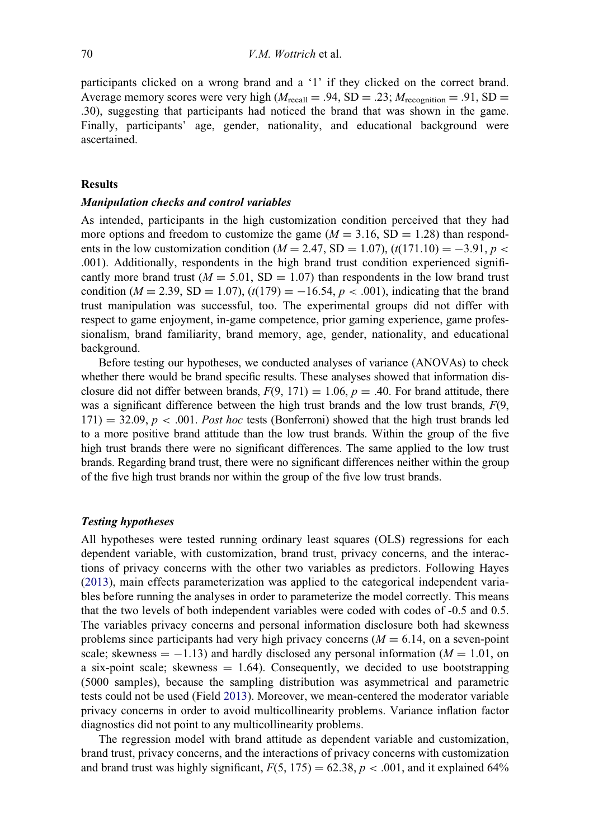participants clicked on a wrong brand and a '1' if they clicked on the correct brand. Average memory scores were very high  $(M_{\text{recall}} = .94, SD = .23; M_{\text{recondition}} = .91, SD =$ .30), suggesting that participants had noticed the brand that was shown in the game. Finally, participants' age, gender, nationality, and educational background were ascertained.

# Results

#### Manipulation checks and control variables

As intended, participants in the high customization condition perceived that they had more options and freedom to customize the game  $(M = 3.16, SD = 1.28)$  than respondents in the low customization condition ( $M = 2.47$ , SD = 1.07), (t(171.10) = -3.91, p < .001). Additionally, respondents in the high brand trust condition experienced significantly more brand trust ( $M = 5.01$ , SD = 1.07) than respondents in the low brand trust condition ( $M = 2.39$ , SD = 1.07), (t(179) = -16.54, p < .001), indicating that the brand trust manipulation was successful, too. The experimental groups did not differ with respect to game enjoyment, in-game competence, prior gaming experience, game professionalism, brand familiarity, brand memory, age, gender, nationality, and educational background.

Before testing our hypotheses, we conducted analyses of variance (ANOVAs) to check whether there would be brand specific results. These analyses showed that information disclosure did not differ between brands,  $F(9, 171) = 1.06$ ,  $p = .40$ . For brand attitude, there was a significant difference between the high trust brands and the low trust brands,  $F(9, 1)$  $171$ ) = 32.09, p < .001. Post hoc tests (Bonferroni) showed that the high trust brands led to a more positive brand attitude than the low trust brands. Within the group of the five high trust brands there were no significant differences. The same applied to the low trust brands. Regarding brand trust, there were no significant differences neither within the group of the five high trust brands nor within the group of the five low trust brands.

# Testing hypotheses

All hypotheses were tested running ordinary least squares (OLS) regressions for each dependent variable, with customization, brand trust, privacy concerns, and the interactions of privacy concerns with the other two variables as predictors. Following Hayes [\(2013](#page-19-19)), main effects parameterization was applied to the categorical independent variables before running the analyses in order to parameterize the model correctly. This means that the two levels of both independent variables were coded with codes of -0.5 and 0.5. The variables privacy concerns and personal information disclosure both had skewness problems since participants had very high privacy concerns  $(M = 6.14$ , on a seven-point scale; skewness  $= -1.13$ ) and hardly disclosed any personal information ( $M = 1.01$ , on a six-point scale; skewness  $= 1.64$ ). Consequently, we decided to use bootstrapping (5000 samples), because the sampling distribution was asymmetrical and parametric tests could not be used (Field [2013](#page-19-20)). Moreover, we mean-centered the moderator variable privacy concerns in order to avoid multicollinearity problems. Variance inflation factor diagnostics did not point to any multicollinearity problems.

The regression model with brand attitude as dependent variable and customization, brand trust, privacy concerns, and the interactions of privacy concerns with customization and brand trust was highly significant,  $F(5, 175) = 62.38$ ,  $p < .001$ , and it explained 64%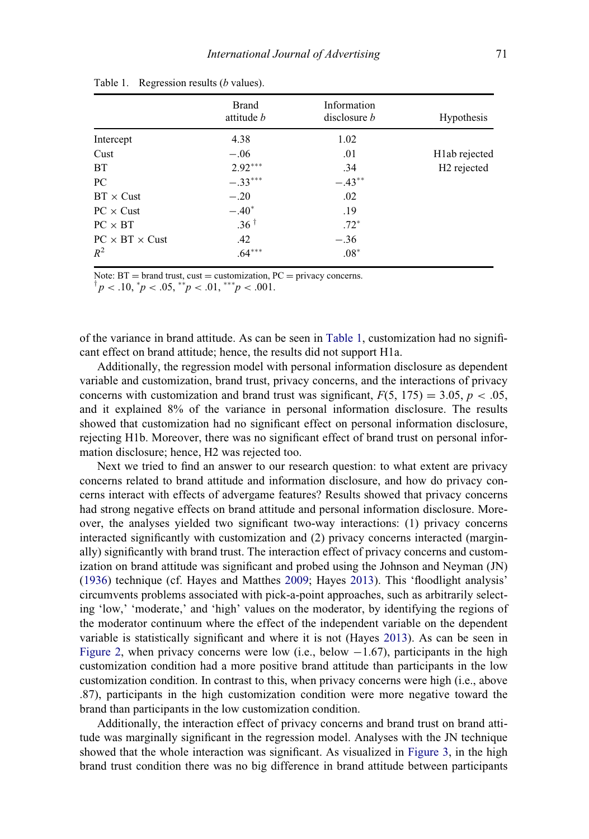|                            | <b>Brand</b><br>attitude b | Information<br>disclosure <i>b</i> | <b>Hypothesis</b>          |
|----------------------------|----------------------------|------------------------------------|----------------------------|
| Intercept                  | 4.38                       | 1.02                               |                            |
| Cust                       | $-.06$                     | .01                                | H <sub>1</sub> ab rejected |
| <b>BT</b>                  | $2.92***$                  | .34                                | H <sub>2</sub> rejected    |
| PC                         | $-.33***$                  | $-.43***$                          |                            |
| $BT \times Cust$           | $-.20$                     | .02                                |                            |
| $PC \times Cust$           | $-.40*$                    | .19                                |                            |
| $PC \times BT$             | $.36^{\dagger}$            | $.72*$                             |                            |
| $PC \times BT \times Cust$ | .42                        | $-.36$                             |                            |
| $R^2$                      | $.64***$                   | $.08*$                             |                            |

Table 1. Regression results (*b* values).

<span id="page-12-0"></span>Note:  $BT = brand$  trust, cust  $=$  customization,  $PC = privacy$  concerns.

 $p < .10, \, {}^{\ast}p < .05, \, {}^{\ast\ast}p < .01, \, {}^{\ast\ast\ast}p < .001.$ 

of the variance in brand attitude. As can be seen in [Table 1,](#page-12-0) customization had no significant effect on brand attitude; hence, the results did not support H1a.

Additionally, the regression model with personal information disclosure as dependent variable and customization, brand trust, privacy concerns, and the interactions of privacy concerns with customization and brand trust was significant,  $F(5, 175) = 3.05$ ,  $p < .05$ , and it explained 8% of the variance in personal information disclosure. The results showed that customization had no significant effect on personal information disclosure, rejecting H1b. Moreover, there was no significant effect of brand trust on personal information disclosure; hence, H2 was rejected too.

Next we tried to find an answer to our research question: to what extent are privacy concerns related to brand attitude and information disclosure, and how do privacy concerns interact with effects of advergame features? Results showed that privacy concerns had strong negative effects on brand attitude and personal information disclosure. Moreover, the analyses yielded two significant two-way interactions: (1) privacy concerns interacted significantly with customization and (2) privacy concerns interacted (marginally) significantly with brand trust. The interaction effect of privacy concerns and customization on brand attitude was significant and probed using the Johnson and Neyman (JN) [\(1936](#page-19-21)) technique (cf. Hayes and Matthes [2009;](#page-19-22) Hayes [2013](#page-19-19)). This 'floodlight analysis' circumvents problems associated with pick-a-point approaches, such as arbitrarily selecting 'low,' 'moderate,' and 'high' values on the moderator, by identifying the regions of the moderator continuum where the effect of the independent variable on the dependent variable is statistically significant and where it is not (Hayes [2013\)](#page-19-19). As can be seen in [Figure 2](#page-13-0), when privacy concerns were low (i.e., below  $-1.67$ ), participants in the high customization condition had a more positive brand attitude than participants in the low customization condition. In contrast to this, when privacy concerns were high (i.e., above .87), participants in the high customization condition were more negative toward the brand than participants in the low customization condition.

Additionally, the interaction effect of privacy concerns and brand trust on brand attitude was marginally significant in the regression model. Analyses with the JN technique showed that the whole interaction was significant. As visualized in [Figure 3,](#page-13-1) in the high brand trust condition there was no big difference in brand attitude between participants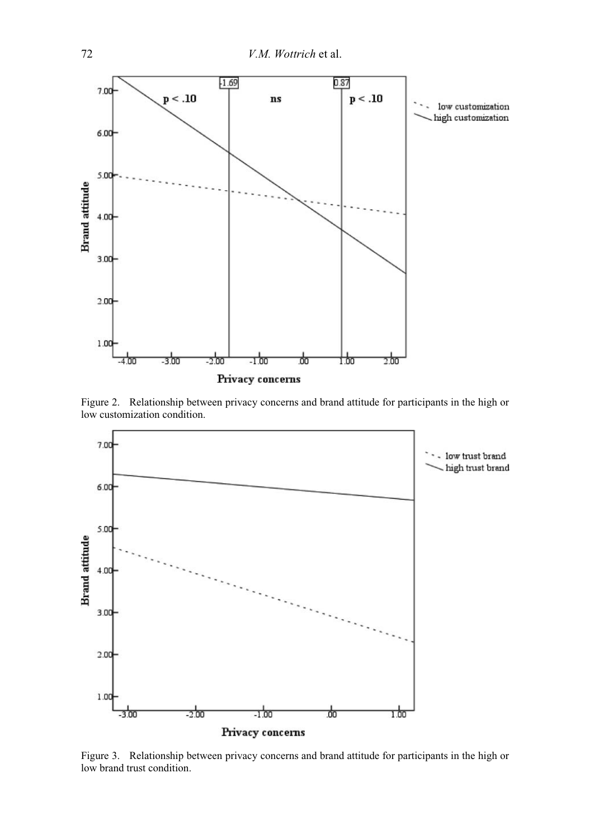<span id="page-13-0"></span>

Figure 2. Relationship between privacy concerns and brand attitude for participants in the high or low customization condition.

<span id="page-13-1"></span>

Figure 3. Relationship between privacy concerns and brand attitude for participants in the high or low brand trust condition.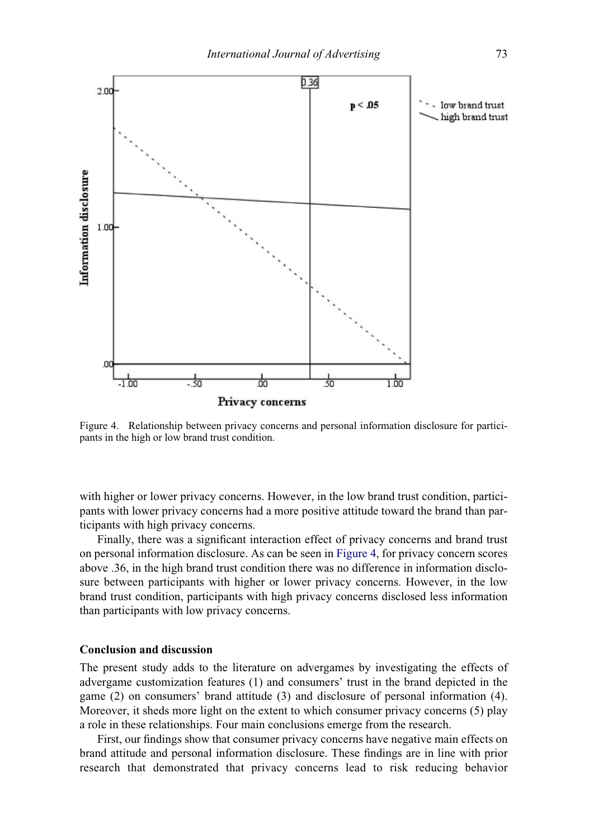<span id="page-14-0"></span>

Figure 4. Relationship between privacy concerns and personal information disclosure for participants in the high or low brand trust condition.

with higher or lower privacy concerns. However, in the low brand trust condition, participants with lower privacy concerns had a more positive attitude toward the brand than participants with high privacy concerns.

Finally, there was a significant interaction effect of privacy concerns and brand trust on personal information disclosure. As can be seen in [Figure 4](#page-14-0), for privacy concern scores above .36, in the high brand trust condition there was no difference in information disclosure between participants with higher or lower privacy concerns. However, in the low brand trust condition, participants with high privacy concerns disclosed less information than participants with low privacy concerns.

# Conclusion and discussion

The present study adds to the literature on advergames by investigating the effects of advergame customization features (1) and consumers' trust in the brand depicted in the game (2) on consumers' brand attitude (3) and disclosure of personal information (4). Moreover, it sheds more light on the extent to which consumer privacy concerns (5) play a role in these relationships. Four main conclusions emerge from the research.

First, our findings show that consumer privacy concerns have negative main effects on brand attitude and personal information disclosure. These findings are in line with prior research that demonstrated that privacy concerns lead to risk reducing behavior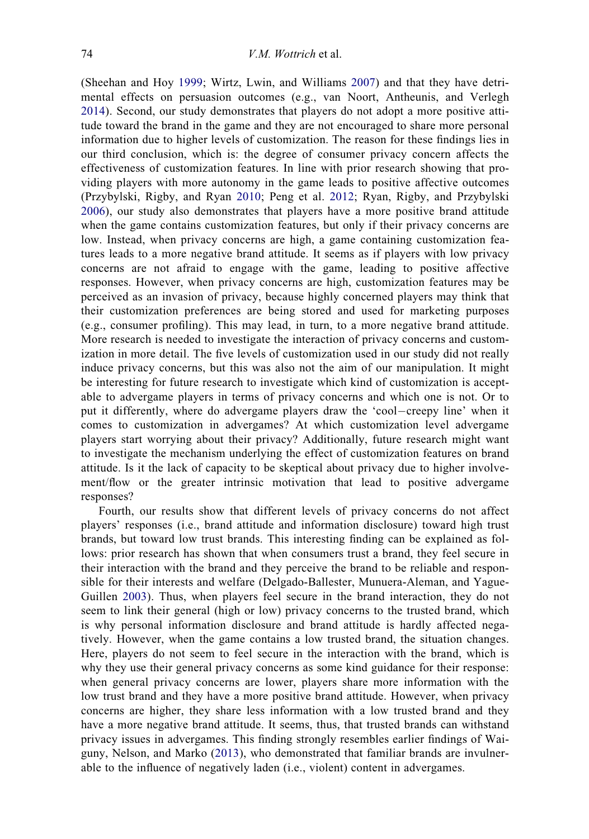(Sheehan and Hoy [1999;](#page-21-19) Wirtz, Lwin, and Williams [2007\)](#page-22-5) and that they have detrimental effects on persuasion outcomes (e.g., van Noort, Antheunis, and Verlegh [2014](#page-21-8)). Second, our study demonstrates that players do not adopt a more positive attitude toward the brand in the game and they are not encouraged to share more personal information due to higher levels of customization. The reason for these findings lies in our third conclusion, which is: the degree of consumer privacy concern affects the effectiveness of customization features. In line with prior research showing that providing players with more autonomy in the game leads to positive affective outcomes (Przybylski, Rigby, and Ryan [2010;](#page-21-12) Peng et al. [2012;](#page-21-9) Ryan, Rigby, and Przybylski [2006](#page-21-0)), our study also demonstrates that players have a more positive brand attitude when the game contains customization features, but only if their privacy concerns are low. Instead, when privacy concerns are high, a game containing customization features leads to a more negative brand attitude. It seems as if players with low privacy concerns are not afraid to engage with the game, leading to positive affective responses. However, when privacy concerns are high, customization features may be perceived as an invasion of privacy, because highly concerned players may think that their customization preferences are being stored and used for marketing purposes (e.g., consumer profiling). This may lead, in turn, to a more negative brand attitude. More research is needed to investigate the interaction of privacy concerns and customization in more detail. The five levels of customization used in our study did not really induce privacy concerns, but this was also not the aim of our manipulation. It might be interesting for future research to investigate which kind of customization is acceptable to advergame players in terms of privacy concerns and which one is not. Or to put it differently, where do advergame players draw the 'cool-creepy line' when it comes to customization in advergames? At which customization level advergame players start worrying about their privacy? Additionally, future research might want to investigate the mechanism underlying the effect of customization features on brand attitude. Is it the lack of capacity to be skeptical about privacy due to higher involvement/flow or the greater intrinsic motivation that lead to positive advergame responses?

Fourth, our results show that different levels of privacy concerns do not affect players' responses (i.e., brand attitude and information disclosure) toward high trust brands, but toward low trust brands. This interesting finding can be explained as follows: prior research has shown that when consumers trust a brand, they feel secure in their interaction with the brand and they perceive the brand to be reliable and responsible for their interests and welfare (Delgado-Ballester, Munuera-Aleman, and Yague-Guillen [2003](#page-19-15)). Thus, when players feel secure in the brand interaction, they do not seem to link their general (high or low) privacy concerns to the trusted brand, which is why personal information disclosure and brand attitude is hardly affected negatively. However, when the game contains a low trusted brand, the situation changes. Here, players do not seem to feel secure in the interaction with the brand, which is why they use their general privacy concerns as some kind guidance for their response: when general privacy concerns are lower, players share more information with the low trust brand and they have a more positive brand attitude. However, when privacy concerns are higher, they share less information with a low trusted brand and they have a more negative brand attitude. It seems, thus, that trusted brands can withstand privacy issues in advergames. This finding strongly resembles earlier findings of Waiguny, Nelson, and Marko [\(2013\)](#page-22-8), who demonstrated that familiar brands are invulnerable to the influence of negatively laden (i.e., violent) content in advergames.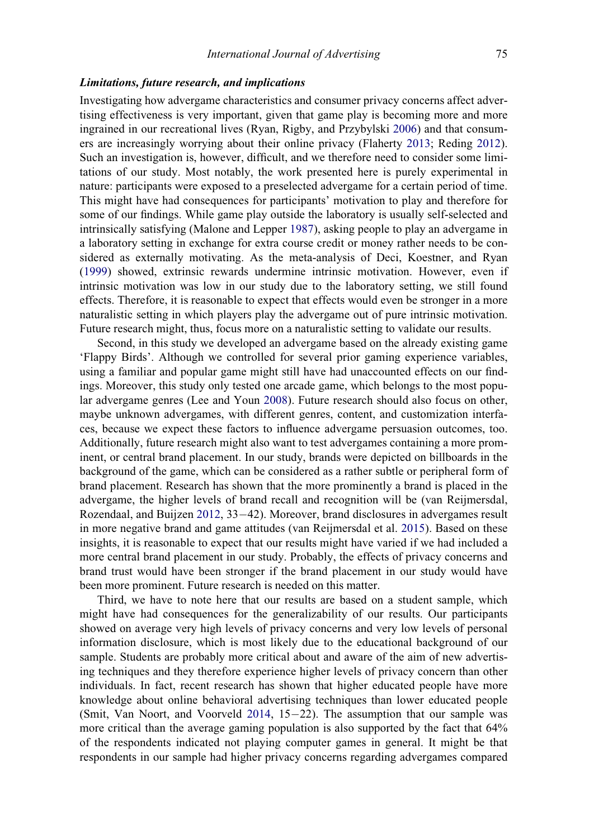### Limitations, future research, and implications

Investigating how advergame characteristics and consumer privacy concerns affect advertising effectiveness is very important, given that game play is becoming more and more ingrained in our recreational lives (Ryan, Rigby, and Przybylski [2006](#page-21-0)) and that consumers are increasingly worrying about their online privacy (Flaherty [2013;](#page-19-4) Reding [2012\)](#page-21-7). Such an investigation is, however, difficult, and we therefore need to consider some limitations of our study. Most notably, the work presented here is purely experimental in nature: participants were exposed to a preselected advergame for a certain period of time. This might have had consequences for participants' motivation to play and therefore for some of our findings. While game play outside the laboratory is usually self-selected and intrinsically satisfying (Malone and Lepper [1987\)](#page-20-19), asking people to play an advergame in a laboratory setting in exchange for extra course credit or money rather needs to be considered as externally motivating. As the meta-analysis of Deci, Koestner, and Ryan [\(1999](#page-19-23)) showed, extrinsic rewards undermine intrinsic motivation. However, even if intrinsic motivation was low in our study due to the laboratory setting, we still found effects. Therefore, it is reasonable to expect that effects would even be stronger in a more naturalistic setting in which players play the advergame out of pure intrinsic motivation. Future research might, thus, focus more on a naturalistic setting to validate our results.

Second, in this study we developed an advergame based on the already existing game 'Flappy Birds'. Although we controlled for several prior gaming experience variables, using a familiar and popular game might still have had unaccounted effects on our findings. Moreover, this study only tested one arcade game, which belongs to the most popular advergame genres (Lee and Youn [2008](#page-20-0)). Future research should also focus on other, maybe unknown advergames, with different genres, content, and customization interfaces, because we expect these factors to influence advergame persuasion outcomes, too. Additionally, future research might also want to test advergames containing a more prominent, or central brand placement. In our study, brands were depicted on billboards in the background of the game, which can be considered as a rather subtle or peripheral form of brand placement. Research has shown that the more prominently a brand is placed in the advergame, the higher levels of brand recall and recognition will be (van Reijmersdal, Rozendaal, and Buijzen [2012,](#page-22-0) 33–42). Moreover, brand disclosures in advergames result in more negative brand and game attitudes (van Reijmersdal et al. [2015](#page-22-9)). Based on these insights, it is reasonable to expect that our results might have varied if we had included a more central brand placement in our study. Probably, the effects of privacy concerns and brand trust would have been stronger if the brand placement in our study would have been more prominent. Future research is needed on this matter.

Third, we have to note here that our results are based on a student sample, which might have had consequences for the generalizability of our results. Our participants showed on average very high levels of privacy concerns and very low levels of personal information disclosure, which is most likely due to the educational background of our sample. Students are probably more critical about and aware of the aim of new advertising techniques and they therefore experience higher levels of privacy concern than other individuals. In fact, recent research has shown that higher educated people have more knowledge about online behavioral advertising techniques than lower educated people (Smit, Van Noort, and Voorveld [2014,](#page-21-22)  $15-22$ ). The assumption that our sample was more critical than the average gaming population is also supported by the fact that 64% of the respondents indicated not playing computer games in general. It might be that respondents in our sample had higher privacy concerns regarding advergames compared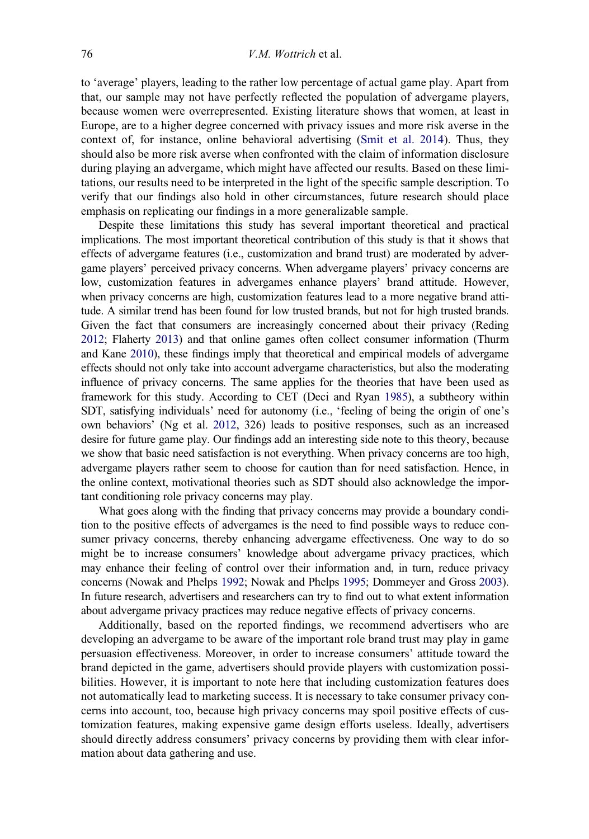to 'average' players, leading to the rather low percentage of actual game play. Apart from that, our sample may not have perfectly reflected the population of advergame players, because women were overrepresented. Existing literature shows that women, at least in Europe, are to a higher degree concerned with privacy issues and more risk averse in the context of, for instance, online behavioral advertising [\(Smit et al. 2014\)](#page-21-22). Thus, they should also be more risk averse when confronted with the claim of information disclosure during playing an advergame, which might have affected our results. Based on these limitations, our results need to be interpreted in the light of the specific sample description. To verify that our findings also hold in other circumstances, future research should place emphasis on replicating our findings in a more generalizable sample.

Despite these limitations this study has several important theoretical and practical implications. The most important theoretical contribution of this study is that it shows that effects of advergame features (i.e., customization and brand trust) are moderated by advergame players' perceived privacy concerns. When advergame players' privacy concerns are low, customization features in advergames enhance players' brand attitude. However, when privacy concerns are high, customization features lead to a more negative brand attitude. A similar trend has been found for low trusted brands, but not for high trusted brands. Given the fact that consumers are increasingly concerned about their privacy (Reding [2012](#page-21-7); Flaherty [2013\)](#page-19-4) and that online games often collect consumer information (Thurm and Kane [2010\)](#page-21-17), these findings imply that theoretical and empirical models of advergame effects should not only take into account advergame characteristics, but also the moderating influence of privacy concerns. The same applies for the theories that have been used as framework for this study. According to CET (Deci and Ryan [1985\)](#page-19-6), a subtheory within SDT, satisfying individuals' need for autonomy (i.e., 'feeling of being the origin of one's own behaviors' (Ng et al. [2012](#page-20-4), 326) leads to positive responses, such as an increased desire for future game play. Our findings add an interesting side note to this theory, because we show that basic need satisfaction is not everything. When privacy concerns are too high, advergame players rather seem to choose for caution than for need satisfaction. Hence, in the online context, motivational theories such as SDT should also acknowledge the important conditioning role privacy concerns may play.

What goes along with the finding that privacy concerns may provide a boundary condition to the positive effects of advergames is the need to find possible ways to reduce consumer privacy concerns, thereby enhancing advergame effectiveness. One way to do so might be to increase consumers' knowledge about advergame privacy practices, which may enhance their feeling of control over their information and, in turn, reduce privacy concerns (Nowak and Phelps [1992;](#page-20-20) Nowak and Phelps [1995](#page-20-21); Dommeyer and Gross [2003\)](#page-19-24). In future research, advertisers and researchers can try to find out to what extent information about advergame privacy practices may reduce negative effects of privacy concerns.

Additionally, based on the reported findings, we recommend advertisers who are developing an advergame to be aware of the important role brand trust may play in game persuasion effectiveness. Moreover, in order to increase consumers' attitude toward the brand depicted in the game, advertisers should provide players with customization possibilities. However, it is important to note here that including customization features does not automatically lead to marketing success. It is necessary to take consumer privacy concerns into account, too, because high privacy concerns may spoil positive effects of customization features, making expensive game design efforts useless. Ideally, advertisers should directly address consumers' privacy concerns by providing them with clear information about data gathering and use.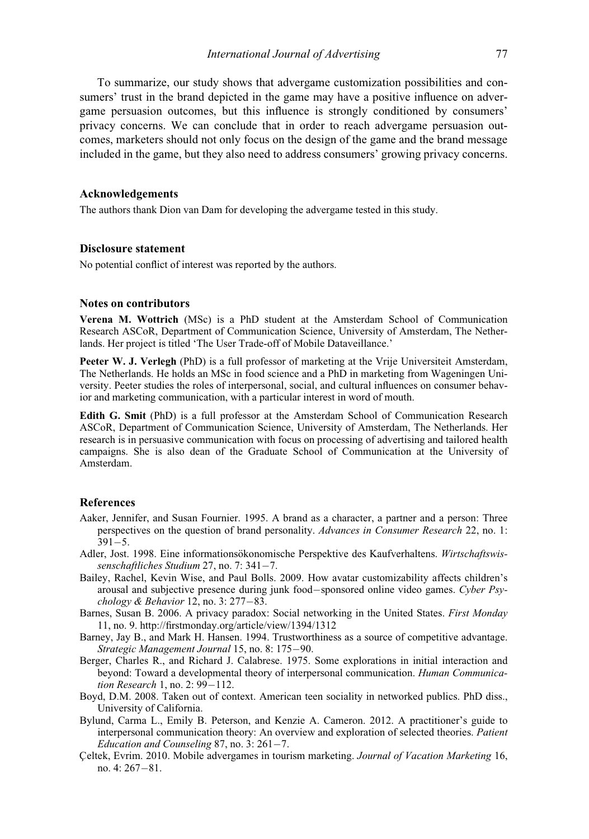To summarize, our study shows that advergame customization possibilities and consumers' trust in the brand depicted in the game may have a positive influence on advergame persuasion outcomes, but this influence is strongly conditioned by consumers' privacy concerns. We can conclude that in order to reach advergame persuasion outcomes, marketers should not only focus on the design of the game and the brand message included in the game, but they also need to address consumers' growing privacy concerns.

# Acknowledgements

The authors thank Dion van Dam for developing the advergame tested in this study.

# Disclosure statement

No potential conflict of interest was reported by the authors.

# Notes on contributors

Verena M. Wottrich (MSc) is a PhD student at the Amsterdam School of Communication Research ASCoR, Department of Communication Science, University of Amsterdam, The Netherlands. Her project is titled 'The User Trade-off of Mobile Dataveillance.'

Peeter W. J. Verlegh (PhD) is a full professor of marketing at the Vrije Universiteit Amsterdam, The Netherlands. He holds an MSc in food science and a PhD in marketing from Wageningen University. Peeter studies the roles of interpersonal, social, and cultural influences on consumer behavior and marketing communication, with a particular interest in word of mouth.

Edith G. Smit (PhD) is a full professor at the Amsterdam School of Communication Research ASCoR, Department of Communication Science, University of Amsterdam, The Netherlands. Her research is in persuasive communication with focus on processing of advertising and tailored health campaigns. She is also dean of the Graduate School of Communication at the University of Amsterdam.

# References

- <span id="page-18-5"></span>Aaker, Jennifer, and Susan Fournier. 1995. A brand as a character, a partner and a person: Three perspectives on the question of brand personality. Advances in Consumer Research 22, no. 1:  $391 - 5.$
- <span id="page-18-4"></span>Adler, Jost. 1998. Eine informationsökonomische Perspektive des Kaufverhaltens. Wirtschaftswissenschaftliches Studium 27, no. 7:  $341-7$ .
- <span id="page-18-3"></span>Bailey, Rachel, Kevin Wise, and Paul Bolls. 2009. How avatar customizability affects children's arousal and subjective presence during junk food-sponsored online video games. Cyber  $P<sub>SY</sub>$ chology & Behavior 12, no. 3:  $277-83$ .
- <span id="page-18-8"></span>Barnes, Susan B. 2006. A privacy paradox: Social networking in the United States. First Monday 11, no. 9.<http://firstmonday.org/article/view/1394/1312>
- <span id="page-18-1"></span>Barney, Jay B., and Mark H. Hansen. 1994. Trustworthiness as a source of competitive advantage. Strategic Management Journal 15, no. 8: 175-90.
- <span id="page-18-2"></span>Berger, Charles R., and Richard J. Calabrese. 1975. Some explorations in initial interaction and beyond: Toward a developmental theory of interpersonal communication. Human Communication Research 1, no. 2:  $99-112$ .
- <span id="page-18-7"></span>Boyd, D.M. 2008. Taken out of context. American teen sociality in networked publics. PhD diss., University of California.
- <span id="page-18-6"></span>Bylund, Carma L., Emily B. Peterson, and Kenzie A. Cameron. 2012. A practitioner's guide to interpersonal communication theory: An overview and exploration of selected theories. Patient Education and Counseling  $87$ , no. 3:  $261 - 7$ .
- <span id="page-18-0"></span>Celtek, Evrim. 2010. Mobile advergames in tourism marketing. Journal of Vacation Marketing 16, no.  $4: 267 - 81$ .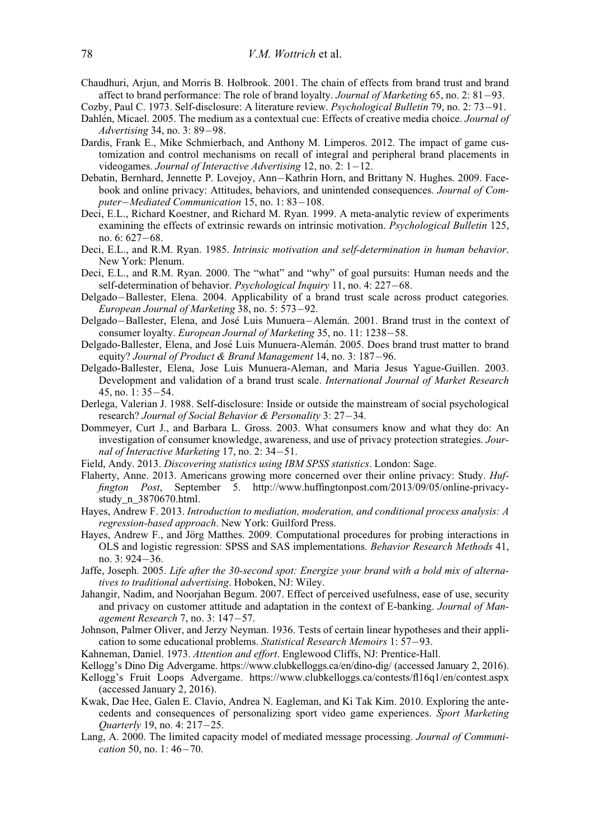- <span id="page-19-16"></span>Chaudhuri, Arjun, and Morris B. Holbrook. 2001. The chain of effects from brand trust and brand affect to brand performance: The role of brand loyalty. Journal of Marketing  $65$ , no. 2:  $81-93$ .
- <span id="page-19-7"></span>Cozby, Paul C. 1973. Self-disclosure: A literature review. Psychological Bulletin 79, no. 2: 73–91.
- <span id="page-19-17"></span>Dahlen, Micael. 2005. The medium as a contextual cue: Effects of creative media choice. Journal of Advertising 34, no. 3: 89-98.
- <span id="page-19-1"></span>Dardis, Frank E., Mike Schmierbach, and Anthony M. Limperos. 2012. The impact of game customization and control mechanisms on recall of integral and peripheral brand placements in videogames. Journal of Interactive Advertising 12, no. 2:  $1-12$ .
- <span id="page-19-13"></span>Debatin, Bernhard, Jennette P. Lovejoy, Ann-Kathrin Horn, and Brittany N. Hughes. 2009. Facebook and online privacy: Attitudes, behaviors, and unintended consequences. Journal of Computer-Mediated Communication 15, no. 1: 83-108.
- <span id="page-19-23"></span>Deci, E.L., Richard Koestner, and Richard M. Ryan. 1999. A meta-analytic review of experiments examining the effects of extrinsic rewards on intrinsic motivation. *Psychological Bulletin* 125, no. 6: 627-68.
- <span id="page-19-6"></span>Deci, E.L., and R.M. Ryan. 1985. Intrinsic motivation and self-determination in human behavior. New York: Plenum.
- <span id="page-19-3"></span>Deci, E.L., and R.M. Ryan. 2000. The "what" and "why" of goal pursuits: Human needs and the self-determination of behavior. Psychological Inquiry 11, no. 4: 227–68.
- <span id="page-19-18"></span>Delgado-Ballester, Elena. 2004. Applicability of a brand trust scale across product categories. European Journal of Marketing  $38$ , no. 5:  $573-92$ .
- <span id="page-19-11"></span>Delgado-Ballester, Elena, and José Luis Munuera-Alemán. 2001. Brand trust in the context of consumer loyalty. European Journal of Marketing 35, no. 11: 1238–58.
- <span id="page-19-2"></span>Delgado-Ballester, Elena, and Jose Luis Munuera-Aleman. 2005. Does brand trust matter to brand equity? Journal of Product & Brand Management 14, no. 3: 187-96.
- <span id="page-19-15"></span>Delgado-Ballester, Elena, Jose Luis Munuera-Aleman, and Maria Jesus Yague-Guillen. 2003. Development and validation of a brand trust scale. International Journal of Market Research  $45$ , no. 1:  $35-54$ .
- <span id="page-19-8"></span>Derlega, Valerian J. 1988. Self-disclosure: Inside or outside the mainstream of social psychological research? Journal of Social Behavior & Personality 3: 27-34.
- <span id="page-19-24"></span>Dommeyer, Curt J., and Barbara L. Gross. 2003. What consumers know and what they do: An investigation of consumer knowledge, awareness, and use of privacy protection strategies. Journal of Interactive Marketing 17, no. 2: 34-51.
- <span id="page-19-20"></span>Field, Andy. 2013. Discovering statistics using IBM SPSS statistics. London: Sage.
- <span id="page-19-4"></span>Flaherty, Anne. 2013. Americans growing more concerned over their online privacy: Study. Huffington Post, September 5. [http://www.huffingtonpost.com/2013/09/05/online-privacy](http://www.huffingtonpost.com/2013/09/05/online-privacy-study_n_3870670.html)[study\\_n\\_3870670.html.](http://www.huffingtonpost.com/2013/09/05/online-privacy-study_n_3870670.html)
- <span id="page-19-19"></span>Hayes, Andrew F. 2013. Introduction to mediation, moderation, and conditional process analysis: A regression-based approach. New York: Guilford Press.
- <span id="page-19-22"></span>Hayes, Andrew F., and Jörg Matthes. 2009. Computational procedures for probing interactions in OLS and logistic regression: SPSS and SAS implementations. Behavior Research Methods 41, no. 3: 924-36.
- <span id="page-19-0"></span>Jaffe, Joseph. 2005. Life after the 30-second spot: Energize your brand with a bold mix of alternatives to traditional advertising. Hoboken, NJ: Wiley.
- <span id="page-19-14"></span>Jahangir, Nadim, and Noorjahan Begum. 2007. Effect of perceived usefulness, ease of use, security and privacy on customer attitude and adaptation in the context of E-banking. Journal of Management Research 7, no. 3: 147-57.
- <span id="page-19-21"></span>Johnson, Palmer Oliver, and Jerzy Neyman. 1936. Tests of certain linear hypotheses and their application to some educational problems. Statistical Research Memoirs 1: 57-93.
- <span id="page-19-10"></span>Kahneman, Daniel. 1973. Attention and effort. Englewood Cliffs, NJ: Prentice-Hall.
- Kellogg's Dino Dig Advergame.<https://www.clubkelloggs.ca/en/dino-dig/> (accessed January 2, 2016).
- <span id="page-19-12"></span>Kellogg's Fruit Loops Advergame.<https://www.clubkelloggs.ca/contests/fl16q1/en/contest.aspx> (accessed January 2, 2016).
- <span id="page-19-5"></span>Kwak, Dae Hee, Galen E. Clavio, Andrea N. Eagleman, and Ki Tak Kim. 2010. Exploring the antecedents and consequences of personalizing sport video game experiences. Sport Marketing Quarterly 19, no. 4: 217-25.
- <span id="page-19-9"></span>Lang, A. 2000. The limited capacity model of mediated message processing. Journal of Communication 50, no.  $1:46-70$ .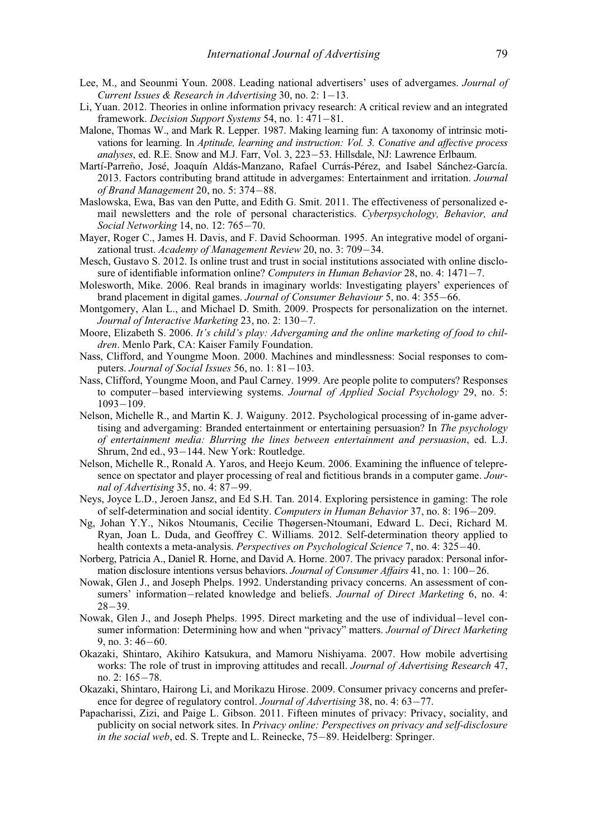- <span id="page-20-0"></span>Lee, M., and Seounmi Youn. 2008. Leading national advertisers' uses of advergames. Journal of Current Issues & Research in Advertising 30, no. 2:  $1-13$ .
- <span id="page-20-15"></span>Li, Yuan. 2012. Theories in online information privacy research: A critical review and an integrated framework. Decision Support Systems 54, no. 1: 471-81.
- <span id="page-20-19"></span>Malone, Thomas W., and Mark R. Lepper. 1987. Making learning fun: A taxonomy of intrinsic motivations for learning. In Aptitude, learning and instruction: Vol. 3. Conative and affective process analyses, ed. R.E. Snow and M.J. Farr, Vol. 3, 223-53. Hillsdale, NJ: Lawrence Erlbaum.
- <span id="page-20-18"></span>Martí-Parreño, José, Joaquín Aldás-Manzano, Rafael Currás-Pérez, and Isabel Sánchez-García. 2013. Factors contributing brand attitude in advergames: Entertainment and irritation. Journal of Brand Management 20, no. 5:  $374-88$ .
- <span id="page-20-16"></span>Maslowska, Ewa, Bas van den Putte, and Edith G. Smit. 2011. The effectiveness of personalized email newsletters and the role of personal characteristics. Cyberpsychology, Behavior, and Social Networking 14, no. 12: 765-70.
- <span id="page-20-10"></span>Mayer, Roger C., James H. Davis, and F. David Schoorman. 1995. An integrative model of organizational trust. Academy of Management Review 20, no. 3: 709-34.
- <span id="page-20-11"></span>Mesch, Gustavo S. 2012. Is online trust and trust in social institutions associated with online disclosure of identifiable information online? Computers in Human Behavior 28, no. 4:  $1471-7$ .
- <span id="page-20-17"></span>Molesworth, Mike. 2006. Real brands in imaginary worlds: Investigating players' experiences of brand placement in digital games. Journal of Consumer Behaviour 5, no. 4: 355-66.
- <span id="page-20-2"></span>Montgomery, Alan L., and Michael D. Smith. 2009. Prospects for personalization on the internet. Journal of Interactive Marketing 23, no. 2: 130-7.
- <span id="page-20-3"></span>Moore, Elizabeth S. 2006. It's child's play: Advergaming and the online marketing of food to children. Menlo Park, CA: Kaiser Family Foundation.
- <span id="page-20-8"></span>Nass, Clifford, and Youngme Moon. 2000. Machines and mindlessness: Social responses to computers. Journal of Social Issues 56, no. 1:  $81-103$ .
- <span id="page-20-9"></span>Nass, Clifford, Youngme Moon, and Paul Carney. 1999. Are people polite to computers? Responses to computer-based interviewing systems. Journal of Applied Social Psychology 29, no. 5:  $1093 - 109.$
- <span id="page-20-1"></span>Nelson, Michelle R., and Martin K. J. Waiguny. 2012. Psychological processing of in-game advertising and advergaming: Branded entertainment or entertaining persuasion? In The psychology of entertainment media: Blurring the lines between entertainment and persuasion, ed. L.J. Shrum, 2nd ed., 93-144. New York: Routledge.
- <span id="page-20-6"></span>Nelson, Michelle R., Ronald A. Yaros, and Heejo Keum. 2006. Examining the influence of telepresence on spectator and player processing of real and fictitious brands in a computer game. Journal of Advertising 35, no. 4:  $87-99$ .
- <span id="page-20-5"></span>Neys, Joyce L.D., Jeroen Jansz, and Ed S.H. Tan. 2014. Exploring persistence in gaming: The role of self-determination and social identity. Computers in Human Behavior 37, no. 8: 196–209.
- <span id="page-20-4"></span>Ng, Johan Y.Y., Nikos Ntoumanis, Cecilie Thøgersen-Ntoumani, Edward L. Deci, Richard M. Ryan, Joan L. Duda, and Geoffrey C. Williams. 2012. Self-determination theory applied to health contexts a meta-analysis. Perspectives on Psychological Science 7, no. 4: 325-40.
- <span id="page-20-14"></span>Norberg, Patricia A., Daniel R. Horne, and David A. Horne. 2007. The privacy paradox: Personal information disclosure intentions versus behaviors. Journal of Consumer Affairs 41, no. 1: 100–26.
- <span id="page-20-20"></span>Nowak, Glen J., and Joseph Phelps. 1992. Understanding privacy concerns. An assessment of consumers' information-related knowledge and beliefs. Journal of Direct Marketing 6, no. 4:  $28 - 39.$
- <span id="page-20-21"></span>Nowak, Glen J., and Joseph Phelps. 1995. Direct marketing and the use of individual-level consumer information: Determining how and when "privacy" matters. Journal of Direct Marketing  $9$ , no.  $3:46-60$ .
- <span id="page-20-7"></span>Okazaki, Shintaro, Akihiro Katsukura, and Mamoru Nishiyama. 2007. How mobile advertising works: The role of trust in improving attitudes and recall. Journal of Advertising Research 47, no. 2: 165-78.
- <span id="page-20-12"></span>Okazaki, Shintaro, Hairong Li, and Morikazu Hirose. 2009. Consumer privacy concerns and preference for degree of regulatory control. Journal of Advertising 38, no. 4: 63–77.
- <span id="page-20-13"></span>Papacharissi, Zizi, and Paige L. Gibson. 2011. Fifteen minutes of privacy: Privacy, sociality, and publicity on social network sites. In Privacy online: Perspectives on privacy and self-disclosure in the social web, ed. S. Trepte and L. Reinecke, 75-89. Heidelberg: Springer.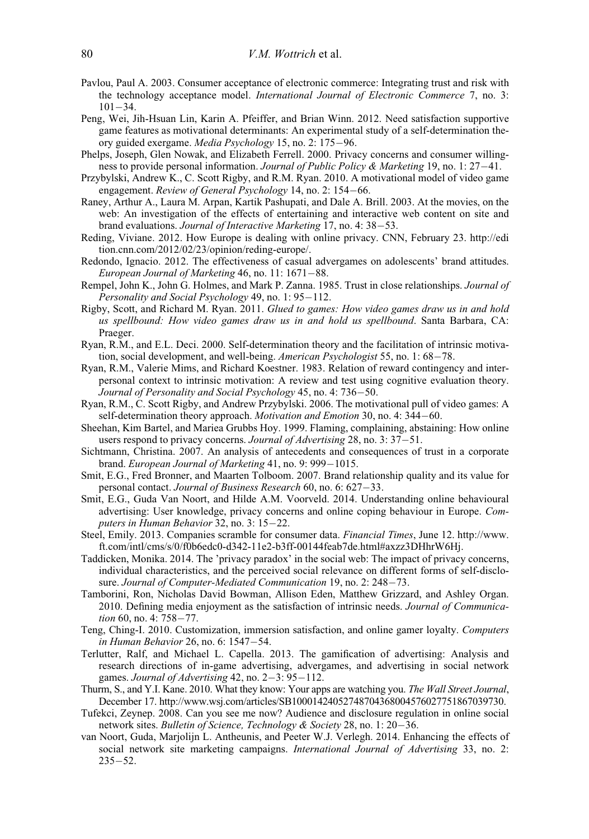- <span id="page-21-15"></span>Pavlou, Paul A. 2003. Consumer acceptance of electronic commerce: Integrating trust and risk with the technology acceptance model. International Journal of Electronic Commerce 7, no. 3:  $101 - 34.$
- <span id="page-21-9"></span>Peng, Wei, Jih-Hsuan Lin, Karin A. Pfeiffer, and Brian Winn. 2012. Need satisfaction supportive game features as motivational determinants: An experimental study of a self-determination theory guided exergame. *Media Psychology* 15, no. 2: 175–96.
- <span id="page-21-18"></span>Phelps, Joseph, Glen Nowak, and Elizabeth Ferrell. 2000. Privacy concerns and consumer willingness to provide personal information. Journal of Public Policy & Marketing 19, no. 1: 27–41.
- <span id="page-21-12"></span>Przybylski, Andrew K., C. Scott Rigby, and R.M. Ryan. 2010. A motivational model of video game engagement. Review of General Psychology 14, no. 2: 154–66.
- <span id="page-21-3"></span>Raney, Arthur A., Laura M. Arpan, Kartik Pashupati, and Dale A. Brill. 2003. At the movies, on the web: An investigation of the effects of entertaining and interactive web content on site and brand evaluations. Journal of Interactive Marketing 17, no. 4: 38–53.
- <span id="page-21-7"></span>Reding, Viviane. 2012. How Europe is dealing with online privacy. CNN, February 23. [http://edi](http://edition.cnn.com/2012/02/23/opinion/reding-europe/) [tion.cnn.com/2012/02/23/opinion/reding-europe/.](http://edition.cnn.com/2012/02/23/opinion/reding-europe/)
- <span id="page-21-1"></span>Redondo, Ignacio. 2012. The effectiveness of casual advergames on adolescents' brand attitudes. European Journal of Marketing  $46$ , no. 11:  $1671-88$ .
- <span id="page-21-13"></span>Rempel, John K., John G. Holmes, and Mark P. Zanna. 1985. Trust in close relationships. Journal of Personality and Social Psychology 49, no. 1: 95-112.
- <span id="page-21-11"></span>Rigby, Scott, and Richard M. Ryan. 2011. Glued to games: How video games draw us in and hold us spellbound: How video games draw us in and hold us spellbound. Santa Barbara, CA: Praeger.
- <span id="page-21-6"></span>Ryan, R.M., and E.L. Deci. 2000. Self-determination theory and the facilitation of intrinsic motivation, social development, and well-being. American Psychologist 55, no. 1:  $68-78$ .
- <span id="page-21-23"></span>Ryan, R.M., Valerie Mims, and Richard Koestner. 1983. Relation of reward contingency and interpersonal context to intrinsic motivation: A review and test using cognitive evaluation theory. Journal of Personality and Social Psychology 45, no. 4: 736-50.
- <span id="page-21-0"></span>Ryan, R.M., C. Scott Rigby, and Andrew Przybylski. 2006. The motivational pull of video games: A self-determination theory approach. *Motivation and Emotion* 30, no. 4: 344–60.
- <span id="page-21-19"></span>Sheehan, Kim Bartel, and Mariea Grubbs Hoy. 1999. Flaming, complaining, abstaining: How online users respond to privacy concerns. Journal of Advertising 28, no.  $3:37-51$ .
- <span id="page-21-16"></span>Sichtmann, Christina. 2007. An analysis of antecedents and consequences of trust in a corporate brand. European Journal of Marketing 41, no. 9: 999-1015.
- <span id="page-21-14"></span>Smit, E.G., Fred Bronner, and Maarten Tolboom. 2007. Brand relationship quality and its value for personal contact. Journal of Business Research 60, no. 6: 627-33.
- <span id="page-21-22"></span>Smit, E.G., Guda Van Noort, and Hilde A.M. Voorveld. 2014. Understanding online behavioural advertising: User knowledge, privacy concerns and online coping behaviour in Europe. Computers in Human Behavior 32, no. 3: 15-22.
- <span id="page-21-4"></span>Steel, Emily. 2013. Companies scramble for consumer data. Financial Times, June 12. [http://www.](http://www.ft.com/intl/cms/s/0/f0b6edc0-d342-11e2-b3ff-00144feab7de.html#axzz3DHhrW6Hj) [ft.com/intl/cms/s/0/f0b6edc0-d342-11e2-b3ff-00144feab7de.html#axzz3DHhrW6Hj](http://www.ft.com/intl/cms/s/0/f0b6edc0-d342-11e2-b3ff-00144feab7de.html#axzz3DHhrW6Hj).
- <span id="page-21-20"></span>Taddicken, Monika. 2014. The 'privacy paradox' in the social web: The impact of privacy concerns, individual characteristics, and the perceived social relevance on different forms of self-disclosure. Journal of Computer-Mediated Communication 19, no. 2: 248-73.
- <span id="page-21-10"></span>Tamborini, Ron, Nicholas David Bowman, Allison Eden, Matthew Grizzard, and Ashley Organ. 2010. Defining media enjoyment as the satisfaction of intrinsic needs. Journal of Communication 60, no. 4: 758-77.
- <span id="page-21-5"></span>Teng, Ching-I. 2010. Customization, immersion satisfaction, and online gamer loyalty. Computers in Human Behavior 26, no. 6: 1547-54.
- <span id="page-21-2"></span>Terlutter, Ralf, and Michael L. Capella. 2013. The gamification of advertising: Analysis and research directions of in-game advertising, advergames, and advertising in social network games. Journal of Advertising 42, no.  $2-3$ : 95-112.
- <span id="page-21-17"></span>Thurm, S., and Y.I. Kane. 2010. What they know: Your apps are watching you. The Wall Street Journal, December 17. [http://www.wsj.com/articles/SB10001424052748704368004576027751867039730.](http://www.wsj.com/articles/SB10001424052748704368004576027751867039730)
- <span id="page-21-21"></span>Tufekci, Zeynep. 2008. Can you see me now? Audience and disclosure regulation in online social network sites. Bulletin of Science, Technology & Society 28, no. 1: 20–36.
- <span id="page-21-8"></span>van Noort, Guda, Marjolijn L. Antheunis, and Peeter W.J. Verlegh. 2014. Enhancing the effects of social network site marketing campaigns. *International Journal of Advertising* 33, no. 2:  $235 - 52$ .